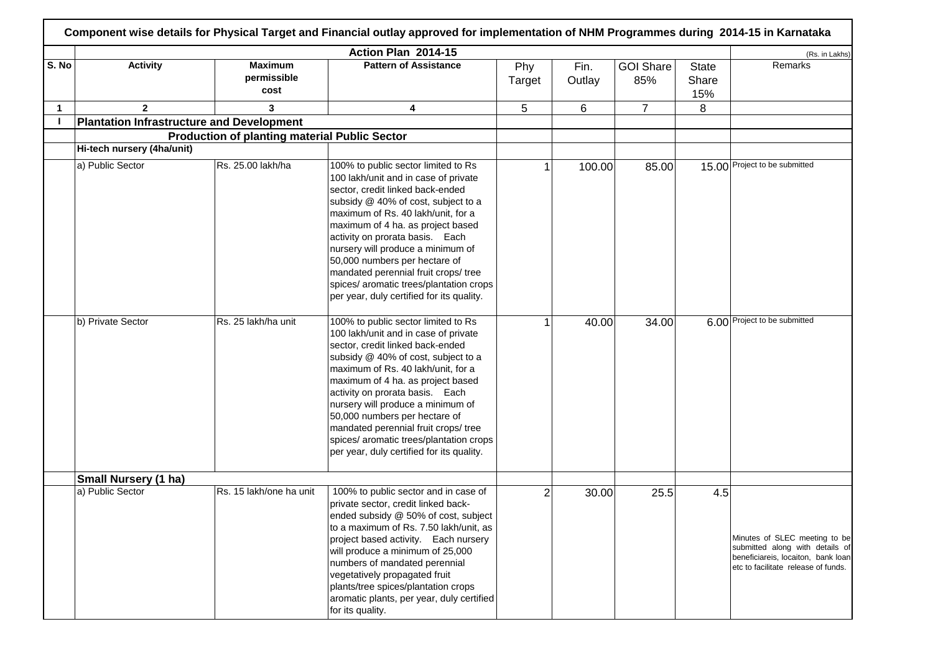|              |                            |                                                      | Action Plan 2014-15                                                                                                                                                                                                                                                                                                                                                                                                                                                        |                |                |                         |                              | (Rs. in Lakhs)                                                                                                                                |
|--------------|----------------------------|------------------------------------------------------|----------------------------------------------------------------------------------------------------------------------------------------------------------------------------------------------------------------------------------------------------------------------------------------------------------------------------------------------------------------------------------------------------------------------------------------------------------------------------|----------------|----------------|-------------------------|------------------------------|-----------------------------------------------------------------------------------------------------------------------------------------------|
| S. No        | <b>Activity</b>            | <b>Maximum</b><br>permissible<br>cost                | <b>Pattern of Assistance</b>                                                                                                                                                                                                                                                                                                                                                                                                                                               | Phy<br>Target  | Fin.<br>Outlay | <b>GOI Share</b><br>85% | <b>State</b><br>Share<br>15% | Remarks                                                                                                                                       |
| $\mathbf{1}$ | $\overline{2}$             | 3                                                    | 4                                                                                                                                                                                                                                                                                                                                                                                                                                                                          | 5              | 6              | $\overline{7}$          | 8                            |                                                                                                                                               |
|              |                            | <b>Plantation Infrastructure and Development</b>     |                                                                                                                                                                                                                                                                                                                                                                                                                                                                            |                |                |                         |                              |                                                                                                                                               |
|              |                            | <b>Production of planting material Public Sector</b> |                                                                                                                                                                                                                                                                                                                                                                                                                                                                            |                |                |                         |                              |                                                                                                                                               |
|              | Hi-tech nursery (4ha/unit) |                                                      |                                                                                                                                                                                                                                                                                                                                                                                                                                                                            |                |                |                         |                              |                                                                                                                                               |
|              | a) Public Sector           | Rs. 25.00 lakh/ha                                    | 100% to public sector limited to Rs<br>100 lakh/unit and in case of private<br>sector, credit linked back-ended<br>subsidy @ 40% of cost, subject to a<br>maximum of Rs. 40 lakh/unit, for a<br>maximum of 4 ha. as project based<br>activity on prorata basis. Each<br>nursery will produce a minimum of<br>50,000 numbers per hectare of<br>mandated perennial fruit crops/ tree<br>spices/ aromatic trees/plantation crops<br>per year, duly certified for its quality. |                | 100.00         | 85.00                   |                              | 15.00 Project to be submitted                                                                                                                 |
|              | b) Private Sector          | Rs. 25 lakh/ha unit                                  | 100% to public sector limited to Rs<br>100 lakh/unit and in case of private<br>sector, credit linked back-ended<br>subsidy @ 40% of cost, subject to a<br>maximum of Rs. 40 lakh/unit, for a<br>maximum of 4 ha. as project based<br>activity on prorata basis. Each<br>nursery will produce a minimum of<br>50,000 numbers per hectare of<br>mandated perennial fruit crops/ tree<br>spices/ aromatic trees/plantation crops<br>per year, duly certified for its quality. |                | 40.00          | 34.00                   |                              | 6.00 Project to be submitted                                                                                                                  |
|              | Small Nursery (1 ha)       |                                                      |                                                                                                                                                                                                                                                                                                                                                                                                                                                                            |                |                |                         |                              |                                                                                                                                               |
|              | a) Public Sector           | Rs. 15 lakh/one ha unit                              | 100% to public sector and in case of<br>private sector, credit linked back-<br>ended subsidy @ 50% of cost, subject<br>to a maximum of Rs. 7.50 lakh/unit, as<br>project based activity. Each nursery<br>will produce a minimum of 25,000<br>numbers of mandated perennial<br>vegetatively propagated fruit<br>plants/tree spices/plantation crops<br>aromatic plants, per year, duly certified<br>for its quality.                                                        | $\overline{2}$ | 30.00          | 25.5                    | 4.5                          | Minutes of SLEC meeting to be<br>submitted along with details of<br>beneficiareis, locaiton, bank loan<br>etc to facilitate release of funds. |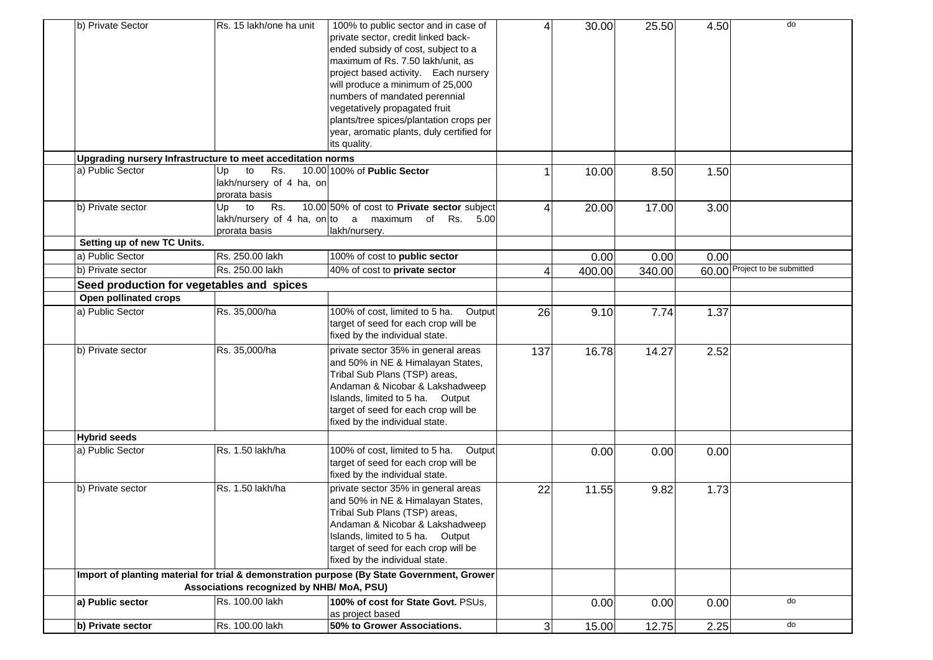| b) Private Sector           | Rs. 15 lakh/one ha unit                                     | 100% to public sector and in case of                                                       | $\overline{4}$ | 30.00  | 25.50  | 4.50 | do                            |
|-----------------------------|-------------------------------------------------------------|--------------------------------------------------------------------------------------------|----------------|--------|--------|------|-------------------------------|
|                             |                                                             | private sector, credit linked back-                                                        |                |        |        |      |                               |
|                             |                                                             | ended subsidy of cost, subject to a                                                        |                |        |        |      |                               |
|                             |                                                             | maximum of Rs. 7.50 lakh/unit, as                                                          |                |        |        |      |                               |
|                             |                                                             | project based activity. Each nursery                                                       |                |        |        |      |                               |
|                             |                                                             |                                                                                            |                |        |        |      |                               |
|                             |                                                             | will produce a minimum of 25,000                                                           |                |        |        |      |                               |
|                             |                                                             | numbers of mandated perennial                                                              |                |        |        |      |                               |
|                             |                                                             | vegetatively propagated fruit                                                              |                |        |        |      |                               |
|                             |                                                             | plants/tree spices/plantation crops per                                                    |                |        |        |      |                               |
|                             |                                                             | year, aromatic plants, duly certified for                                                  |                |        |        |      |                               |
|                             |                                                             | its quality.                                                                               |                |        |        |      |                               |
|                             | Upgrading nursery Infrastructure to meet acceditation norms |                                                                                            |                |        |        |      |                               |
| a) Public Sector            | to<br>Rs.<br>Up                                             | 10.00 100% of Public Sector                                                                | 1              | 10.00  | 8.50   | 1.50 |                               |
|                             | lakh/nursery of 4 ha, on                                    |                                                                                            |                |        |        |      |                               |
|                             | prorata basis                                               |                                                                                            |                |        |        |      |                               |
| b) Private sector           | to<br>Rs.<br>Up                                             | 10.00 50% of cost to Private sector subject                                                | 4              | 20.00  | 17.00  | 3.00 |                               |
|                             |                                                             | lakh/nursery of 4 ha, on to a maximum of Rs. 5.00                                          |                |        |        |      |                               |
|                             | prorata basis                                               | lakh/nursery.                                                                              |                |        |        |      |                               |
| Setting up of new TC Units. |                                                             |                                                                                            |                |        |        |      |                               |
| a) Public Sector            | Rs. 250.00 lakh                                             | 100% of cost to public sector                                                              |                | 0.00   | 0.00   | 0.00 |                               |
| b) Private sector           | Rs. 250.00 lakh                                             | 40% of cost to private sector                                                              | 4              | 400.00 | 340.00 |      | 60.00 Project to be submitted |
|                             | Seed production for vegetables and spices                   |                                                                                            |                |        |        |      |                               |
| Open pollinated crops       |                                                             |                                                                                            |                |        |        |      |                               |
| a) Public Sector            | Rs. 35,000/ha                                               | 100% of cost, limited to 5 ha.<br>Output                                                   | 26             | 9.10   | 7.74   | 1.37 |                               |
|                             |                                                             | target of seed for each crop will be                                                       |                |        |        |      |                               |
|                             |                                                             | fixed by the individual state.                                                             |                |        |        |      |                               |
| b) Private sector           | Rs. 35,000/ha                                               | private sector 35% in general areas                                                        | 137            | 16.78  | 14.27  | 2.52 |                               |
|                             |                                                             | and 50% in NE & Himalayan States,                                                          |                |        |        |      |                               |
|                             |                                                             | Tribal Sub Plans (TSP) areas,                                                              |                |        |        |      |                               |
|                             |                                                             | Andaman & Nicobar & Lakshadweep                                                            |                |        |        |      |                               |
|                             |                                                             | Islands, limited to 5 ha. Output                                                           |                |        |        |      |                               |
|                             |                                                             |                                                                                            |                |        |        |      |                               |
|                             |                                                             | target of seed for each crop will be                                                       |                |        |        |      |                               |
|                             |                                                             | fixed by the individual state.                                                             |                |        |        |      |                               |
| <b>Hybrid seeds</b>         |                                                             |                                                                                            |                |        |        |      |                               |
| a) Public Sector            | Rs. 1.50 lakh/ha                                            | 100% of cost, limited to 5 ha.<br>Output                                                   |                | 0.00   | 0.00   | 0.00 |                               |
|                             |                                                             | target of seed for each crop will be                                                       |                |        |        |      |                               |
|                             |                                                             | fixed by the individual state.                                                             |                |        |        |      |                               |
| b) Private sector           | Rs. 1.50 lakh/ha                                            | private sector 35% in general areas                                                        | 22             | 11.55  | 9.82   | 1.73 |                               |
|                             |                                                             | and 50% in NE & Himalayan States,                                                          |                |        |        |      |                               |
|                             |                                                             | Tribal Sub Plans (TSP) areas,                                                              |                |        |        |      |                               |
|                             |                                                             | Andaman & Nicobar & Lakshadweep                                                            |                |        |        |      |                               |
|                             |                                                             | Islands, limited to 5 ha. Output                                                           |                |        |        |      |                               |
|                             |                                                             | target of seed for each crop will be                                                       |                |        |        |      |                               |
|                             |                                                             | fixed by the individual state.                                                             |                |        |        |      |                               |
|                             |                                                             | Import of planting material for trial & demonstration purpose (By State Government, Grower |                |        |        |      |                               |
|                             | Associations recognized by NHB/ MoA, PSU)                   |                                                                                            |                |        |        |      |                               |
| a) Public sector            | Rs. 100.00 lakh                                             | 100% of cost for State Govt. PSUs,                                                         |                | 0.00   | 0.00   | 0.00 | do                            |
|                             |                                                             | as project based                                                                           |                |        |        |      |                               |
| b) Private sector           | Rs. 100.00 lakh                                             | 50% to Grower Associations.                                                                | $\overline{3}$ | 15.00  | 12.75  | 2.25 | do                            |
|                             |                                                             |                                                                                            |                |        |        |      |                               |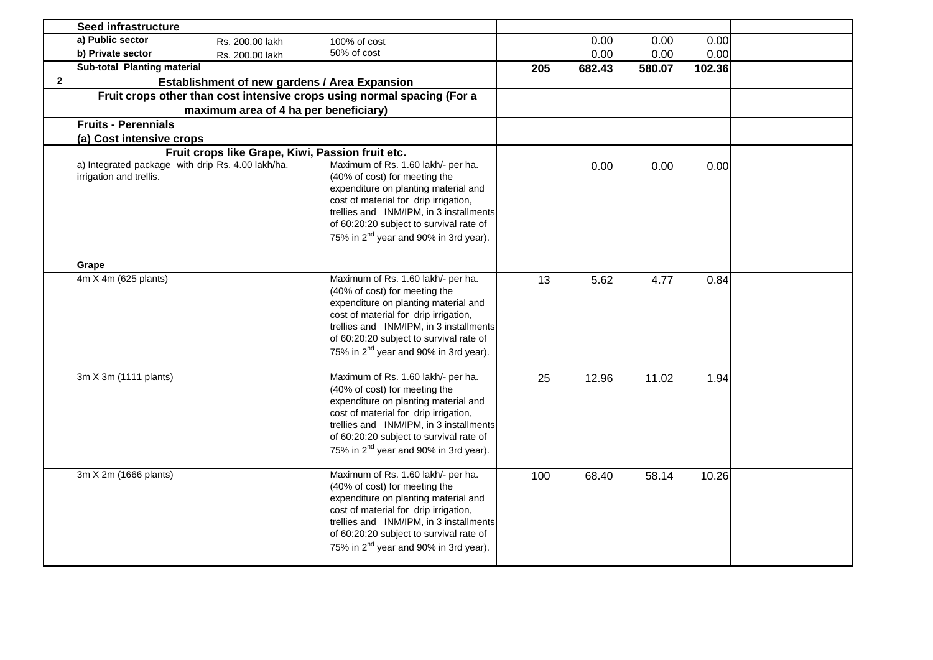|                | <b>Seed infrastructure</b>                                                   |                                                  |                                                                                                                                                                                                                                                                                                 |     |        |        |        |  |
|----------------|------------------------------------------------------------------------------|--------------------------------------------------|-------------------------------------------------------------------------------------------------------------------------------------------------------------------------------------------------------------------------------------------------------------------------------------------------|-----|--------|--------|--------|--|
|                | a) Public sector                                                             | Rs. 200.00 lakh                                  | 100% of cost                                                                                                                                                                                                                                                                                    |     | 0.00   | 0.00   | 0.00   |  |
|                | b) Private sector                                                            | Rs. 200.00 lakh                                  | 50% of cost                                                                                                                                                                                                                                                                                     |     | 0.00   | 0.00   | 0.00   |  |
|                | Sub-total Planting material                                                  |                                                  |                                                                                                                                                                                                                                                                                                 | 205 | 682.43 | 580.07 | 102.36 |  |
| $\overline{2}$ |                                                                              | Establishment of new gardens / Area Expansion    |                                                                                                                                                                                                                                                                                                 |     |        |        |        |  |
|                |                                                                              |                                                  | Fruit crops other than cost intensive crops using normal spacing (For a                                                                                                                                                                                                                         |     |        |        |        |  |
|                |                                                                              | maximum area of 4 ha per beneficiary)            |                                                                                                                                                                                                                                                                                                 |     |        |        |        |  |
|                | <b>Fruits - Perennials</b>                                                   |                                                  |                                                                                                                                                                                                                                                                                                 |     |        |        |        |  |
|                | (a) Cost intensive crops                                                     |                                                  |                                                                                                                                                                                                                                                                                                 |     |        |        |        |  |
|                |                                                                              | Fruit crops like Grape, Kiwi, Passion fruit etc. |                                                                                                                                                                                                                                                                                                 |     |        |        |        |  |
|                | a) Integrated package with drip Rs. 4.00 lakh/ha.<br>irrigation and trellis. |                                                  | Maximum of Rs. 1.60 lakh/- per ha.<br>(40% of cost) for meeting the<br>expenditure on planting material and<br>cost of material for drip irrigation,<br>trellies and INM/IPM, in 3 installments<br>of 60:20:20 subject to survival rate of<br>75% in 2 <sup>nd</sup> year and 90% in 3rd year). |     | 0.00   | 0.00   | 0.00   |  |
|                | Grape                                                                        |                                                  |                                                                                                                                                                                                                                                                                                 |     |        |        |        |  |
|                | 4m X 4m (625 plants)                                                         |                                                  | Maximum of Rs. 1.60 lakh/- per ha.<br>(40% of cost) for meeting the<br>expenditure on planting material and<br>cost of material for drip irrigation,<br>trellies and INM/IPM, in 3 installments<br>of 60:20:20 subject to survival rate of<br>75% in 2 <sup>nd</sup> year and 90% in 3rd year). | 13  | 5.62   | 4.77   | 0.84   |  |
|                | 3m X 3m (1111 plants)                                                        |                                                  | Maximum of Rs. 1.60 lakh/- per ha.<br>(40% of cost) for meeting the<br>expenditure on planting material and<br>cost of material for drip irrigation,<br>trellies and INM/IPM, in 3 installments<br>of 60:20:20 subject to survival rate of<br>75% in 2 <sup>nd</sup> year and 90% in 3rd year). | 25  | 12.96  | 11.02  | 1.94   |  |
|                | 3m X 2m (1666 plants)                                                        |                                                  | Maximum of Rs. 1.60 lakh/- per ha.<br>(40% of cost) for meeting the<br>expenditure on planting material and<br>cost of material for drip irrigation,<br>trellies and INM/IPM, in 3 installments<br>of 60:20:20 subject to survival rate of<br>75% in 2 <sup>nd</sup> year and 90% in 3rd year). | 100 | 68.40  | 58.14  | 10.26  |  |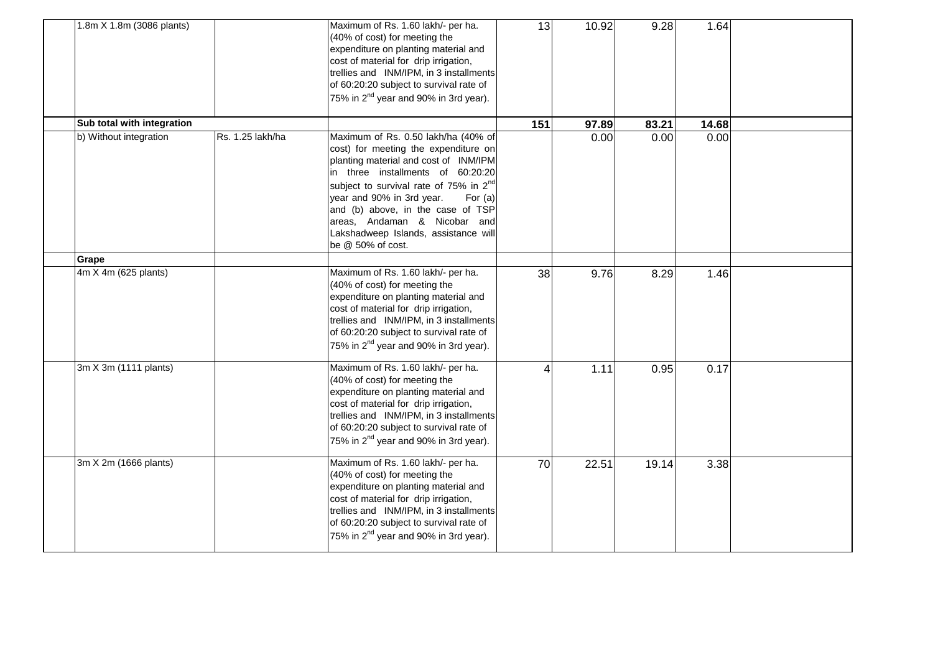| 1.8m X 1.8m (3086 plants)  |                  | Maximum of Rs. 1.60 lakh/- per ha.<br>(40% of cost) for meeting the<br>expenditure on planting material and<br>cost of material for drip irrigation,<br>trellies and INM/IPM, in 3 installments<br>of 60:20:20 subject to survival rate of<br>75% in 2 <sup>nd</sup> year and 90% in 3rd year).                                                                                             | 13  | 10.92 | 9.28  | 1.64  |  |
|----------------------------|------------------|---------------------------------------------------------------------------------------------------------------------------------------------------------------------------------------------------------------------------------------------------------------------------------------------------------------------------------------------------------------------------------------------|-----|-------|-------|-------|--|
| Sub total with integration |                  |                                                                                                                                                                                                                                                                                                                                                                                             | 151 | 97.89 | 83.21 | 14.68 |  |
| b) Without integration     | Rs. 1.25 lakh/ha | Maximum of Rs. 0.50 lakh/ha (40% of<br>cost) for meeting the expenditure on<br>planting material and cost of INM/IPM<br>in three installments of 60:20:20<br>subject to survival rate of 75% in 2 <sup>nd</sup><br>year and 90% in 3rd year.<br>For $(a)$<br>and (b) above, in the case of TSP<br>areas, Andaman & Nicobar and<br>Lakshadweep Islands, assistance will<br>be @ 50% of cost. |     | 0.00  | 0.00  | 0.00  |  |
| Grape                      |                  |                                                                                                                                                                                                                                                                                                                                                                                             |     |       |       |       |  |
| 4m X 4m (625 plants)       |                  | Maximum of Rs. 1.60 lakh/- per ha.<br>(40% of cost) for meeting the<br>expenditure on planting material and<br>cost of material for drip irrigation,<br>trellies and INM/IPM, in 3 installments<br>of 60:20:20 subject to survival rate of<br>75% in 2 <sup>nd</sup> year and 90% in 3rd year).                                                                                             | 38  | 9.76  | 8.29  | 1.46  |  |
| 3m X 3m (1111 plants)      |                  | Maximum of Rs. 1.60 lakh/- per ha.<br>(40% of cost) for meeting the<br>expenditure on planting material and<br>cost of material for drip irrigation,<br>trellies and INM/IPM, in 3 installments<br>of 60:20:20 subject to survival rate of<br>75% in 2 <sup>nd</sup> year and 90% in 3rd year).                                                                                             | 4   | 1.11  | 0.95  | 0.17  |  |
| 3m X 2m (1666 plants)      |                  | Maximum of Rs. 1.60 lakh/- per ha.<br>(40% of cost) for meeting the<br>expenditure on planting material and<br>cost of material for drip irrigation,<br>trellies and INM/IPM, in 3 installments<br>of 60:20:20 subject to survival rate of<br>75% in 2 <sup>nd</sup> year and 90% in 3rd year).                                                                                             | 70  | 22.51 | 19.14 | 3.38  |  |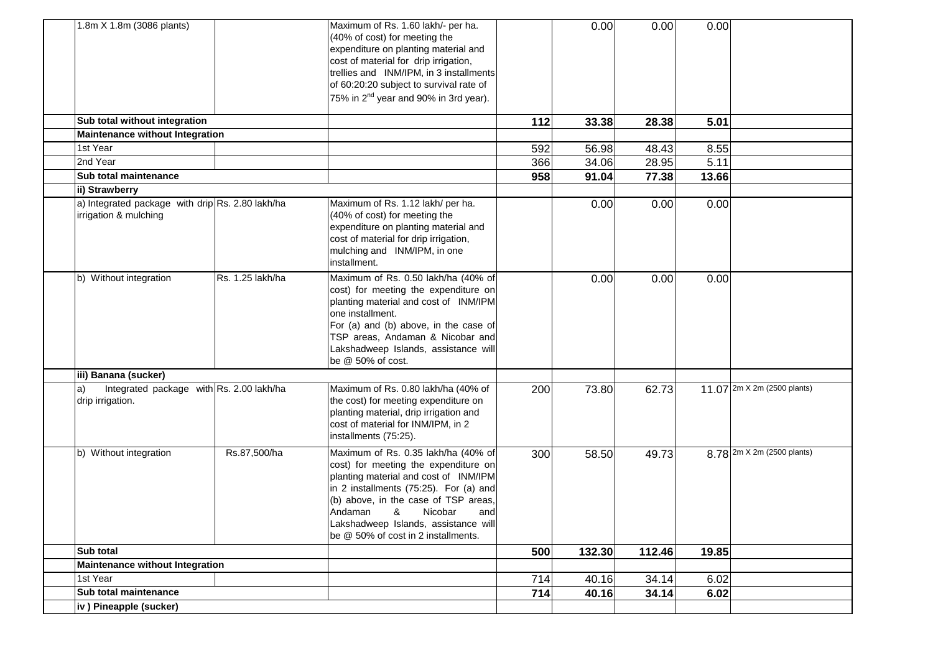| 1.8m X 1.8m (3086 plants)                                                 |                  | Maximum of Rs. 1.60 lakh/- per ha.<br>(40% of cost) for meeting the<br>expenditure on planting material and<br>cost of material for drip irrigation,<br>trellies and INM/IPM, in 3 installments<br>of 60:20:20 subject to survival rate of<br>75% in 2 <sup>nd</sup> year and 90% in 3rd year).                         |     | 0.00   | 0.00   | 0.00  |                                                   |
|---------------------------------------------------------------------------|------------------|-------------------------------------------------------------------------------------------------------------------------------------------------------------------------------------------------------------------------------------------------------------------------------------------------------------------------|-----|--------|--------|-------|---------------------------------------------------|
| Sub total without integration                                             |                  |                                                                                                                                                                                                                                                                                                                         | 112 | 33.38  | 28.38  | 5.01  |                                                   |
| <b>Maintenance without Integration</b>                                    |                  |                                                                                                                                                                                                                                                                                                                         |     |        |        |       |                                                   |
| 1st Year                                                                  |                  |                                                                                                                                                                                                                                                                                                                         | 592 | 56.98  | 48.43  | 8.55  |                                                   |
| 2nd Year                                                                  |                  |                                                                                                                                                                                                                                                                                                                         | 366 | 34.06  | 28.95  | 5.11  |                                                   |
| Sub total maintenance                                                     |                  |                                                                                                                                                                                                                                                                                                                         | 958 | 91.04  | 77.38  | 13.66 |                                                   |
| ii) Strawberry                                                            |                  |                                                                                                                                                                                                                                                                                                                         |     |        |        |       |                                                   |
| a) Integrated package with drip Rs. 2.80 lakh/ha<br>irrigation & mulching |                  | Maximum of Rs. 1.12 lakh/ per ha.<br>(40% of cost) for meeting the<br>expenditure on planting material and<br>cost of material for drip irrigation,<br>mulching and INM/IPM, in one<br>installment.                                                                                                                     |     | 0.00   | 0.00   | 0.00  |                                                   |
| b) Without integration                                                    | Rs. 1.25 lakh/ha | Maximum of Rs. 0.50 lakh/ha (40% of<br>cost) for meeting the expenditure on<br>planting material and cost of INM/IPM<br>one installment.<br>For (a) and (b) above, in the case of<br>TSP areas, Andaman & Nicobar and<br>Lakshadweep Islands, assistance will<br>be @ 50% of cost.                                      |     | 0.00   | 0.00   | 0.00  |                                                   |
| iii) Banana (sucker)                                                      |                  |                                                                                                                                                                                                                                                                                                                         |     |        |        |       |                                                   |
| Integrated package with Rs. 2.00 lakh/ha<br>a)<br>drip irrigation.        |                  | Maximum of Rs. 0.80 lakh/ha (40% of<br>the cost) for meeting expenditure on<br>planting material, drip irrigation and<br>cost of material for INM/IPM, in 2<br>installments (75:25).                                                                                                                                    | 200 | 73.80  | 62.73  |       | 11.07 $\sqrt{2m \times 2m (2500 \text{ plants})}$ |
| b) Without integration                                                    | Rs.87,500/ha     | Maximum of Rs. 0.35 lakh/ha (40% of<br>cost) for meeting the expenditure on<br>planting material and cost of INM/IPM<br>in 2 installments (75:25). For (a) and<br>(b) above, in the case of TSP areas,<br>Andaman<br>&<br>Nicobar<br>and<br>Lakshadweep Islands, assistance will<br>be @ 50% of cost in 2 installments. | 300 | 58.50  | 49.73  |       | 8.78 2m X 2m (2500 plants)                        |
| Sub total                                                                 |                  |                                                                                                                                                                                                                                                                                                                         | 500 | 132.30 | 112.46 | 19.85 |                                                   |
| <b>Maintenance without Integration</b>                                    |                  |                                                                                                                                                                                                                                                                                                                         |     |        |        |       |                                                   |
| 1st Year                                                                  |                  |                                                                                                                                                                                                                                                                                                                         | 714 | 40.16  | 34.14  | 6.02  |                                                   |
| Sub total maintenance                                                     |                  |                                                                                                                                                                                                                                                                                                                         | 714 | 40.16  | 34.14  | 6.02  |                                                   |
| iv) Pineapple (sucker)                                                    |                  |                                                                                                                                                                                                                                                                                                                         |     |        |        |       |                                                   |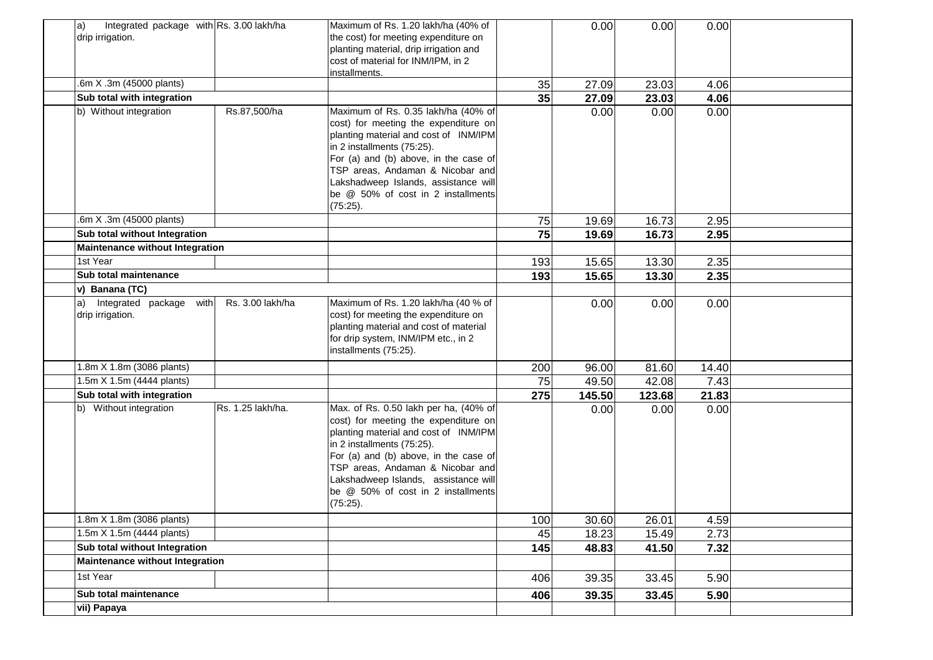| Integrated package with Rs. 3.00 lakh/ha<br>a) |                   | Maximum of Rs. 1.20 lakh/ha (40% of                                 |     | 0.00   | 0.00   | 0.00  |  |
|------------------------------------------------|-------------------|---------------------------------------------------------------------|-----|--------|--------|-------|--|
| drip irrigation.                               |                   | the cost) for meeting expenditure on                                |     |        |        |       |  |
|                                                |                   | planting material, drip irrigation and                              |     |        |        |       |  |
|                                                |                   | cost of material for INM/IPM, in 2                                  |     |        |        |       |  |
|                                                |                   | installments.                                                       |     |        |        |       |  |
| .6m X .3m (45000 plants)                       |                   |                                                                     | 35  | 27.09  | 23.03  | 4.06  |  |
| Sub total with integration                     |                   |                                                                     | 35  | 27.09  | 23.03  | 4.06  |  |
| b) Without integration                         | Rs.87,500/ha      | Maximum of Rs. 0.35 lakh/ha (40% of                                 |     | 0.00   | 0.00   | 0.00  |  |
|                                                |                   | cost) for meeting the expenditure on                                |     |        |        |       |  |
|                                                |                   | planting material and cost of INM/IPM<br>in 2 installments (75:25). |     |        |        |       |  |
|                                                |                   | For (a) and (b) above, in the case of                               |     |        |        |       |  |
|                                                |                   | TSP areas, Andaman & Nicobar and                                    |     |        |        |       |  |
|                                                |                   | Lakshadweep Islands, assistance will                                |     |        |        |       |  |
|                                                |                   | be @ 50% of cost in 2 installments                                  |     |        |        |       |  |
|                                                |                   | (75:25).                                                            |     |        |        |       |  |
| .6m X .3m (45000 plants)                       |                   |                                                                     | 75  | 19.69  | 16.73  | 2.95  |  |
| Sub total without Integration                  |                   |                                                                     | 75  | 19.69  | 16.73  | 2.95  |  |
| <b>Maintenance without Integration</b>         |                   |                                                                     |     |        |        |       |  |
| 1st Year                                       |                   |                                                                     | 193 | 15.65  | 13.30  | 2.35  |  |
| Sub total maintenance                          |                   |                                                                     | 193 | 15.65  | 13.30  | 2.35  |  |
| v) Banana (TC)                                 |                   |                                                                     |     |        |        |       |  |
| Integrated package with<br>a)                  | Rs. 3.00 lakh/ha  | Maximum of Rs. 1.20 lakh/ha (40 % of                                |     | 0.00   | 0.00   | 0.00  |  |
| drip irrigation.                               |                   | cost) for meeting the expenditure on                                |     |        |        |       |  |
|                                                |                   | planting material and cost of material                              |     |        |        |       |  |
|                                                |                   | for drip system, INM/IPM etc., in 2                                 |     |        |        |       |  |
|                                                |                   | installments (75:25).                                               |     |        |        |       |  |
| 1.8m X 1.8m (3086 plants)                      |                   |                                                                     | 200 | 96.00  | 81.60  | 14.40 |  |
| 1.5m X 1.5m (4444 plants)                      |                   |                                                                     | 75  | 49.50  | 42.08  | 7.43  |  |
| Sub total with integration                     |                   |                                                                     | 275 | 145.50 | 123.68 | 21.83 |  |
| b) Without integration                         | Rs. 1.25 lakh/ha. | Max. of Rs. 0.50 lakh per ha, (40% of                               |     | 0.00   | 0.00   | 0.00  |  |
|                                                |                   | cost) for meeting the expenditure on                                |     |        |        |       |  |
|                                                |                   | planting material and cost of INM/IPM                               |     |        |        |       |  |
|                                                |                   | in 2 installments (75:25).<br>For (a) and (b) above, in the case of |     |        |        |       |  |
|                                                |                   | TSP areas, Andaman & Nicobar and                                    |     |        |        |       |  |
|                                                |                   | Lakshadweep Islands, assistance will                                |     |        |        |       |  |
|                                                |                   | be @ 50% of cost in 2 installments                                  |     |        |        |       |  |
|                                                |                   | (75:25).                                                            |     |        |        |       |  |
| $\frac{1.8m}{1.8m}$ X 1.8m (3086 plants)       |                   |                                                                     | 100 | 30.60  | 26.01  | 4.59  |  |
| 1.5m X 1.5m (4444 plants)                      |                   |                                                                     | 45  | 18.23  | 15.49  | 2.73  |  |
| Sub total without Integration                  |                   |                                                                     | 145 | 48.83  | 41.50  | 7.32  |  |
| <b>Maintenance without Integration</b>         |                   |                                                                     |     |        |        |       |  |
| 1st Year                                       |                   |                                                                     | 406 | 39.35  | 33.45  | 5.90  |  |
| Sub total maintenance                          |                   |                                                                     | 406 | 39.35  | 33.45  | 5.90  |  |
| vii) Papaya                                    |                   |                                                                     |     |        |        |       |  |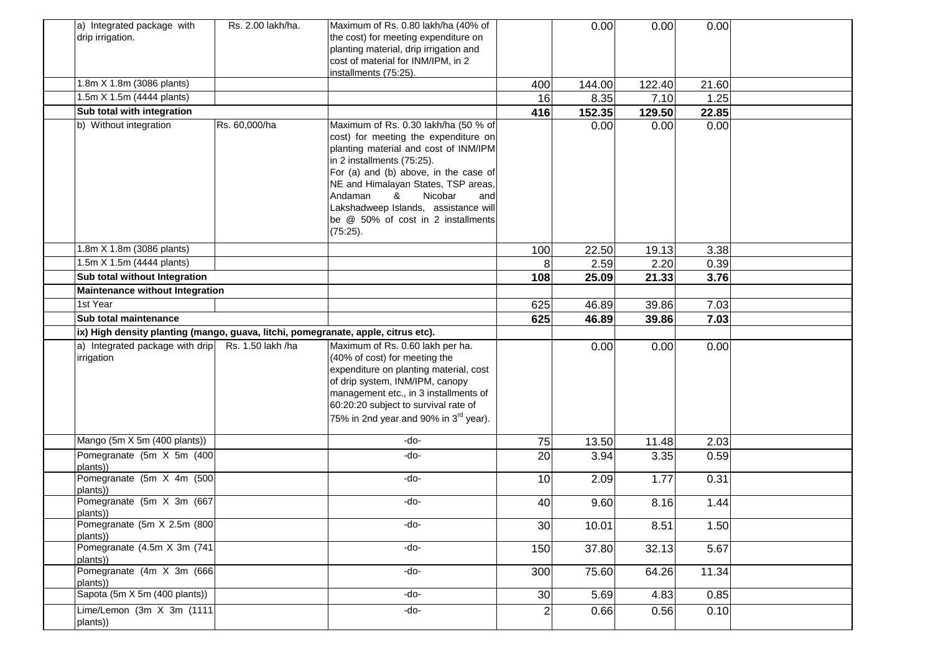| a) Integrated package with                                                        | Rs. 2.00 lakh/ha. | Maximum of Rs. 0.80 lakh/ha (40% of                                     |                  | 0.00          | 0.00          | 0.00         |  |
|-----------------------------------------------------------------------------------|-------------------|-------------------------------------------------------------------------|------------------|---------------|---------------|--------------|--|
| drip irrigation.                                                                  |                   | the cost) for meeting expenditure on                                    |                  |               |               |              |  |
|                                                                                   |                   | planting material, drip irrigation and                                  |                  |               |               |              |  |
|                                                                                   |                   | cost of material for INM/IPM, in 2                                      |                  |               |               |              |  |
|                                                                                   |                   | installments (75:25).                                                   |                  |               |               |              |  |
| 1.8m X 1.8m (3086 plants)                                                         |                   |                                                                         | 400              | 144.00        | 122.40        | 21.60        |  |
| 1.5m X 1.5m (4444 plants)                                                         |                   |                                                                         | 16               | 8.35          | 7.10          | 1.25         |  |
| Sub total with integration                                                        |                   |                                                                         | 416              | 152.35        | 129.50        | 22.85        |  |
| b) Without integration                                                            | Rs. 60,000/ha     | Maximum of Rs. 0.30 lakh/ha (50 % of                                    |                  | 0.00          | 0.00          | 0.00         |  |
|                                                                                   |                   | cost) for meeting the expenditure on                                    |                  |               |               |              |  |
|                                                                                   |                   | planting material and cost of INM/IPM                                   |                  |               |               |              |  |
|                                                                                   |                   | in 2 installments (75:25).<br>For (a) and (b) above, in the case of     |                  |               |               |              |  |
|                                                                                   |                   |                                                                         |                  |               |               |              |  |
|                                                                                   |                   | NE and Himalayan States, TSP areas,<br>Andaman<br>&<br>Nicobar<br>and   |                  |               |               |              |  |
|                                                                                   |                   | Lakshadweep Islands, assistance will                                    |                  |               |               |              |  |
|                                                                                   |                   | be @ 50% of cost in 2 installments                                      |                  |               |               |              |  |
|                                                                                   |                   | (75:25).                                                                |                  |               |               |              |  |
| 1.8m X 1.8m (3086 plants)                                                         |                   |                                                                         |                  |               |               |              |  |
| 1.5m X 1.5m (4444 plants)                                                         |                   |                                                                         | 100<br>8         | 22.50<br>2.59 | 19.13<br>2.20 | 3.38<br>0.39 |  |
| Sub total without Integration                                                     |                   |                                                                         | 108              | 25.09         | 21.33         | 3.76         |  |
| <b>Maintenance without Integration</b>                                            |                   |                                                                         |                  |               |               |              |  |
| 1st Year                                                                          |                   |                                                                         |                  |               |               |              |  |
|                                                                                   |                   |                                                                         | 625              | 46.89         | 39.86         | 7.03         |  |
| Sub total maintenance                                                             |                   |                                                                         | 625              | 46.89         | 39.86         | 7.03         |  |
| ix) High density planting (mango, guava, litchi, pomegranate, apple, citrus etc). |                   |                                                                         |                  |               |               |              |  |
| a) Integrated package with drip                                                   | Rs. 1.50 lakh /ha | Maximum of Rs. 0.60 lakh per ha.                                        |                  | 0.00          | 0.00          | 0.00         |  |
| irrigation                                                                        |                   | (40% of cost) for meeting the<br>expenditure on planting material, cost |                  |               |               |              |  |
|                                                                                   |                   | of drip system, INM/IPM, canopy                                         |                  |               |               |              |  |
|                                                                                   |                   | management etc., in 3 installments of                                   |                  |               |               |              |  |
|                                                                                   |                   | 60:20:20 subject to survival rate of                                    |                  |               |               |              |  |
|                                                                                   |                   | 75% in 2nd year and 90% in 3 <sup>rd</sup> year).                       |                  |               |               |              |  |
|                                                                                   |                   |                                                                         |                  |               |               |              |  |
| Mango (5m X 5m (400 plants))                                                      |                   | -do-                                                                    | 75               | 13.50         | 11.48         | 2.03         |  |
| Pomegranate (5m X 5m (400)                                                        |                   | -do-                                                                    | 20               | 3.94          | 3.35          | 0.59         |  |
| plants))                                                                          |                   |                                                                         |                  |               |               |              |  |
| Pomegranate (5m X 4m (500                                                         |                   | -do-                                                                    | 10               | 2.09          | 1.77          | 0.31         |  |
| plants))<br>Pomegranate (5m X 3m (667                                             |                   | -do-                                                                    |                  |               |               |              |  |
| plants))                                                                          |                   |                                                                         | 40               | 9.60          | 8.16          | 1.44         |  |
| Pomegranate (5m X 2.5m (800                                                       |                   | -do-                                                                    | 30               | 10.01         | 8.51          | 1.50         |  |
| plants))                                                                          |                   |                                                                         |                  |               |               |              |  |
| Pomegranate (4.5m X 3m (741)                                                      |                   | $-do-$                                                                  | 150              | 37.80         | 32.13         | 5.67         |  |
| plants))<br>Pomegranate (4m X 3m (666)                                            |                   |                                                                         |                  |               |               |              |  |
| plants))                                                                          |                   | $-do-$                                                                  | 300              | 75.60         | 64.26         | 11.34        |  |
| Sapota (5m X 5m (400 plants))                                                     |                   | -do-                                                                    | 30               | 5.69          | 4.83          | 0.85         |  |
| Lime/Lemon $(3m \tX 3m (1111$                                                     |                   | -do-                                                                    | $\boldsymbol{2}$ | 0.66          | 0.56          | 0.10         |  |
| plants))                                                                          |                   |                                                                         |                  |               |               |              |  |
|                                                                                   |                   |                                                                         |                  |               |               |              |  |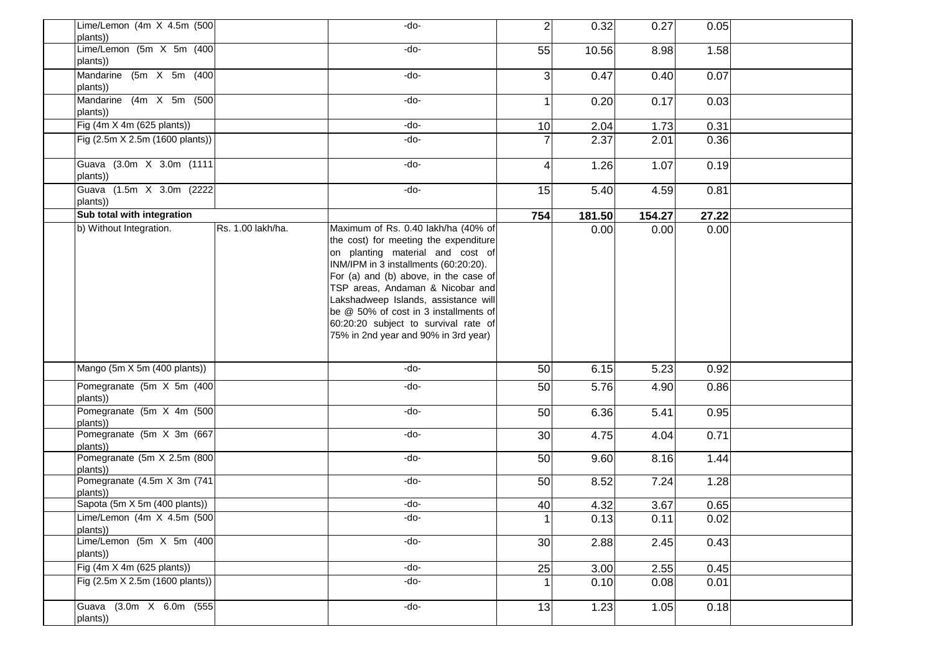| Lime/Lemon (4m $X$ 4.5m (500)<br>plants))    | -do-                                                                                                                                                                                                                                                                                                                                                                                                    | $\overline{2}$          | 0.32   | 0.27   | 0.05  |  |
|----------------------------------------------|---------------------------------------------------------------------------------------------------------------------------------------------------------------------------------------------------------------------------------------------------------------------------------------------------------------------------------------------------------------------------------------------------------|-------------------------|--------|--------|-------|--|
| Lime/Lemon (5m X 5m (400)<br>plants))        | -do-                                                                                                                                                                                                                                                                                                                                                                                                    | 55                      | 10.56  | 8.98   | 1.58  |  |
| Mandarine (5m X 5m (400)<br>plants))         | -do-                                                                                                                                                                                                                                                                                                                                                                                                    | 3                       | 0.47   | 0.40   | 0.07  |  |
| Mandarine (4m X 5m (500)<br>plants))         | -do-                                                                                                                                                                                                                                                                                                                                                                                                    | $\mathbf{1}$            | 0.20   | 0.17   | 0.03  |  |
| Fig (4m X 4m (625 plants))                   | -do-                                                                                                                                                                                                                                                                                                                                                                                                    | 10                      | 2.04   | 1.73   | 0.31  |  |
| Fig (2.5m X 2.5m (1600 plants))              | -do-                                                                                                                                                                                                                                                                                                                                                                                                    | $\overline{7}$          | 2.37   | 2.01   | 0.36  |  |
| Guava (3.0m X 3.0m (1111<br>plants))         | -do-                                                                                                                                                                                                                                                                                                                                                                                                    | $\overline{\mathbf{4}}$ | 1.26   | 1.07   | 0.19  |  |
| Guava (1.5m X 3.0m (2222<br>plants))         | -do-                                                                                                                                                                                                                                                                                                                                                                                                    | 15                      | 5.40   | 4.59   | 0.81  |  |
| Sub total with integration                   |                                                                                                                                                                                                                                                                                                                                                                                                         | 754                     | 181.50 | 154.27 | 27.22 |  |
| b) Without Integration.<br>Rs. 1.00 lakh/ha. | Maximum of Rs. 0.40 lakh/ha (40% of<br>the cost) for meeting the expenditure<br>on planting material and cost of<br>INM/IPM in 3 installments (60:20:20).<br>For (a) and (b) above, in the case of<br>TSP areas, Andaman & Nicobar and<br>Lakshadweep Islands, assistance will<br>be @ 50% of cost in 3 installments of<br>60:20:20 subject to survival rate of<br>75% in 2nd year and 90% in 3rd year) |                         | 0.00   | 0.00   | 0.00  |  |
| Mango (5m X 5m (400 plants))                 | -do-                                                                                                                                                                                                                                                                                                                                                                                                    | 50                      | 6.15   | 5.23   | 0.92  |  |
| Pomegranate (5m X 5m (400<br>plants))        | -do-                                                                                                                                                                                                                                                                                                                                                                                                    | 50                      | 5.76   | 4.90   | 0.86  |  |
| Pomegranate (5m X 4m (500<br>plants))        | -do-                                                                                                                                                                                                                                                                                                                                                                                                    | 50                      | 6.36   | 5.41   | 0.95  |  |
| Pomegranate (5m X 3m (667<br>plants))        | -do-                                                                                                                                                                                                                                                                                                                                                                                                    | 30                      | 4.75   | 4.04   | 0.71  |  |
| Pomegranate (5m X 2.5m (800)<br>plants))     | -do-                                                                                                                                                                                                                                                                                                                                                                                                    | 50                      | 9.60   | 8.16   | 1.44  |  |
| Pomegranate (4.5m X 3m (741)<br>plants))     | -do-                                                                                                                                                                                                                                                                                                                                                                                                    | 50                      | 8.52   | 7.24   | 1.28  |  |
| Sapota (5m X 5m (400 plants))                | -do-                                                                                                                                                                                                                                                                                                                                                                                                    | 40                      | 4.32   | 3.67   | 0.65  |  |
| Lime/Lemon (4m X 4.5m (500)<br>plants))      | -do-                                                                                                                                                                                                                                                                                                                                                                                                    | 1 <sup>1</sup>          | 0.13   | 0.11   | 0.02  |  |
| Lime/Lemon (5m X 5m (400)<br>plants))        | $-do-$                                                                                                                                                                                                                                                                                                                                                                                                  | 30                      | 2.88   | 2.45   | 0.43  |  |
| Fig (4m X 4m (625 plants))                   | -do-                                                                                                                                                                                                                                                                                                                                                                                                    | 25                      | 3.00   | 2.55   | 0.45  |  |
| Fig (2.5m X 2.5m (1600 plants))              | -do-                                                                                                                                                                                                                                                                                                                                                                                                    | $\mathbf{1}$            | 0.10   | 0.08   | 0.01  |  |
| Guava (3.0m X 6.0m (555<br>plants))          | -do-                                                                                                                                                                                                                                                                                                                                                                                                    | 13                      | 1.23   | 1.05   | 0.18  |  |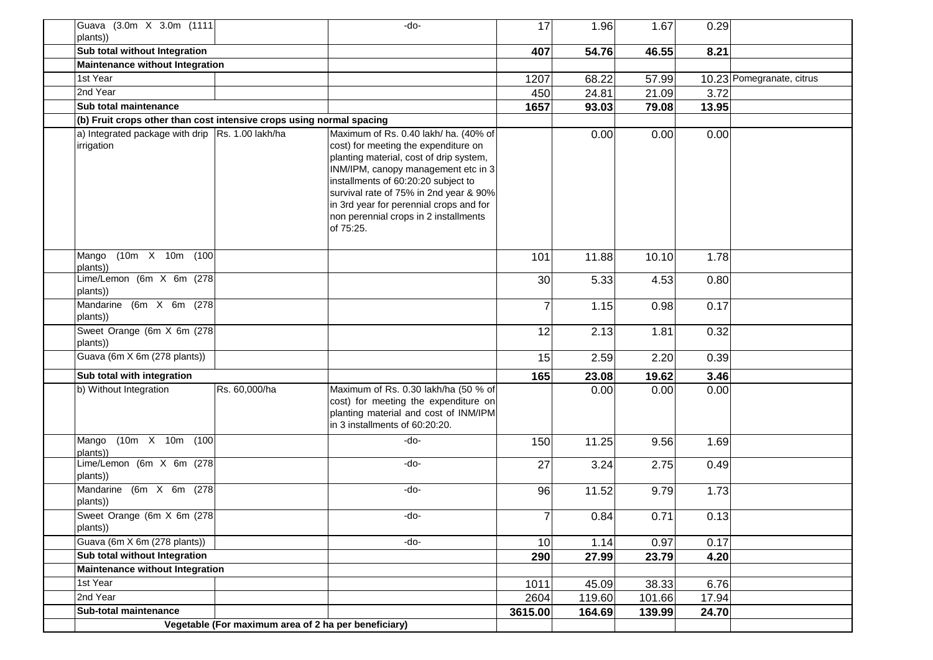| Guava (3.0m X 3.0m (1111<br>plants))                                 |                                                      | -do-                                                                                                                                                                                                                                                                                                                                              | 17             | 1.96   | 1.67   | 0.29  |                           |
|----------------------------------------------------------------------|------------------------------------------------------|---------------------------------------------------------------------------------------------------------------------------------------------------------------------------------------------------------------------------------------------------------------------------------------------------------------------------------------------------|----------------|--------|--------|-------|---------------------------|
| Sub total without Integration                                        |                                                      |                                                                                                                                                                                                                                                                                                                                                   | 407            | 54.76  | 46.55  | 8.21  |                           |
| <b>Maintenance without Integration</b>                               |                                                      |                                                                                                                                                                                                                                                                                                                                                   |                |        |        |       |                           |
| 1st Year                                                             |                                                      |                                                                                                                                                                                                                                                                                                                                                   | 1207           | 68.22  | 57.99  |       | 10.23 Pomegranate, citrus |
| 2nd Year                                                             |                                                      |                                                                                                                                                                                                                                                                                                                                                   | 450            | 24.81  | 21.09  | 3.72  |                           |
| Sub total maintenance                                                |                                                      |                                                                                                                                                                                                                                                                                                                                                   | 1657           | 93.03  | 79.08  | 13.95 |                           |
| (b) Fruit crops other than cost intensive crops using normal spacing |                                                      |                                                                                                                                                                                                                                                                                                                                                   |                |        |        |       |                           |
| a) Integrated package with drip Rs. 1.00 lakh/ha<br>irrigation       |                                                      | Maximum of Rs. 0.40 lakh/ ha. (40% of<br>cost) for meeting the expenditure on<br>planting material, cost of drip system,<br>INM/IPM, canopy management etc in 3<br>installments of 60:20:20 subject to<br>survival rate of 75% in 2nd year & 90%<br>in 3rd year for perennial crops and for<br>non perennial crops in 2 installments<br>of 75:25. |                | 0.00   | 0.00   | 0.00  |                           |
| $(10m \t X \t 10m \t (100$<br>Mango<br>plants))                      |                                                      |                                                                                                                                                                                                                                                                                                                                                   | 101            | 11.88  | 10.10  | 1.78  |                           |
| Lime/Lemon (6m X 6m (278)<br>plants))                                |                                                      |                                                                                                                                                                                                                                                                                                                                                   | 30             | 5.33   | 4.53   | 0.80  |                           |
| Mandarine (6m X 6m (278)<br>plants))                                 |                                                      |                                                                                                                                                                                                                                                                                                                                                   | $\overline{7}$ | 1.15   | 0.98   | 0.17  |                           |
| Sweet Orange (6m X 6m (278)<br>plants))                              |                                                      |                                                                                                                                                                                                                                                                                                                                                   | 12             | 2.13   | 1.81   | 0.32  |                           |
| Guava (6m X 6m (278 plants))                                         |                                                      |                                                                                                                                                                                                                                                                                                                                                   | 15             | 2.59   | 2.20   | 0.39  |                           |
| Sub total with integration                                           |                                                      |                                                                                                                                                                                                                                                                                                                                                   | 165            | 23.08  | 19.62  | 3.46  |                           |
| b) Without Integration                                               | Rs. 60,000/ha                                        | Maximum of Rs. 0.30 lakh/ha (50 % of<br>cost) for meeting the expenditure on<br>planting material and cost of INM/IPM<br>in 3 installments of 60:20:20.                                                                                                                                                                                           |                | 0.00   | 0.00   | 0.00  |                           |
| $(10m \t X \t 10m \t (100$<br>Mango<br>plants))                      |                                                      | $-do-$                                                                                                                                                                                                                                                                                                                                            | 150            | 11.25  | 9.56   | 1.69  |                           |
| Lime/Lemon (6m $X$ 6m (278)<br>plants))                              |                                                      | -do-                                                                                                                                                                                                                                                                                                                                              | 27             | 3.24   | 2.75   | 0.49  |                           |
| Mandarine (6m X 6m (278)<br>plants))                                 |                                                      | -do-                                                                                                                                                                                                                                                                                                                                              | 96             | 11.52  | 9.79   | 1.73  |                           |
| Sweet Orange (6m X 6m (278)<br>plants))                              |                                                      | -do-                                                                                                                                                                                                                                                                                                                                              | $\overline{7}$ | 0.84   | 0.71   | 0.13  |                           |
| Guava (6m X 6m (278 plants))                                         |                                                      | -do-                                                                                                                                                                                                                                                                                                                                              | 10             | 1.14   | 0.97   | 0.17  |                           |
| Sub total without Integration                                        |                                                      |                                                                                                                                                                                                                                                                                                                                                   | 290            | 27.99  | 23.79  | 4.20  |                           |
| <b>Maintenance without Integration</b>                               |                                                      |                                                                                                                                                                                                                                                                                                                                                   |                |        |        |       |                           |
| 1st Year                                                             |                                                      |                                                                                                                                                                                                                                                                                                                                                   | 1011           | 45.09  | 38.33  | 6.76  |                           |
| 2nd Year                                                             |                                                      |                                                                                                                                                                                                                                                                                                                                                   | 2604           | 119.60 | 101.66 | 17.94 |                           |
| Sub-total maintenance                                                |                                                      |                                                                                                                                                                                                                                                                                                                                                   | 3615.00        | 164.69 | 139.99 | 24.70 |                           |
|                                                                      | Vegetable (For maximum area of 2 ha per beneficiary) |                                                                                                                                                                                                                                                                                                                                                   |                |        |        |       |                           |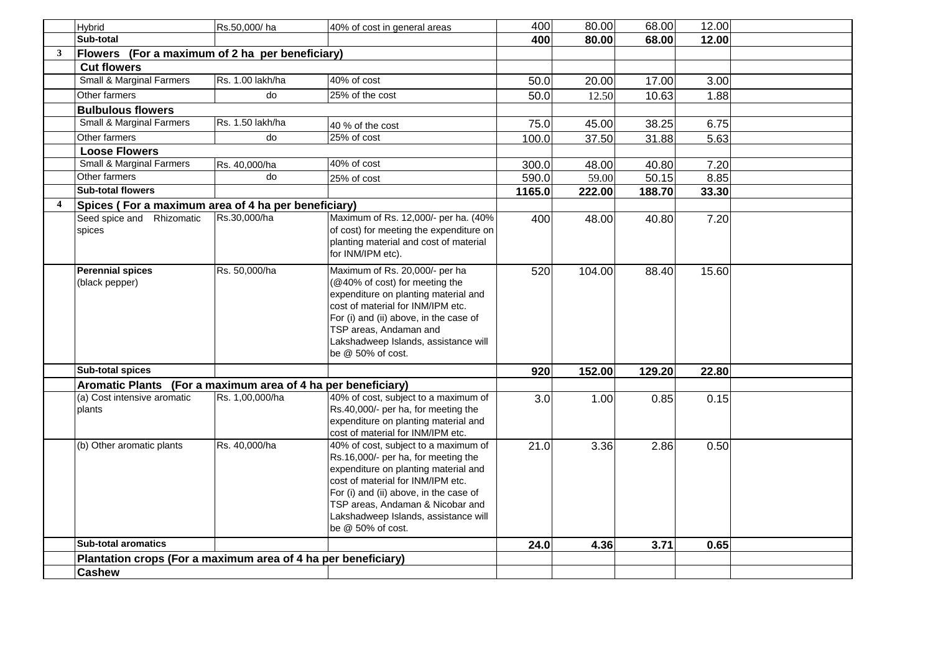|                         | Hybrid                                                        | Rs.50,000/ha     | 40% of cost in general areas                                                                                                                                                                                                                                                                        | 400    | 80.00  | 68.00  | 12.00 |  |
|-------------------------|---------------------------------------------------------------|------------------|-----------------------------------------------------------------------------------------------------------------------------------------------------------------------------------------------------------------------------------------------------------------------------------------------------|--------|--------|--------|-------|--|
|                         | Sub-total                                                     |                  |                                                                                                                                                                                                                                                                                                     | 400    | 80.00  | 68.00  | 12.00 |  |
| $\mathbf{3}$            | Flowers (For a maximum of 2 ha per beneficiary)               |                  |                                                                                                                                                                                                                                                                                                     |        |        |        |       |  |
|                         | <b>Cut flowers</b>                                            |                  |                                                                                                                                                                                                                                                                                                     |        |        |        |       |  |
|                         | Small & Marginal Farmers                                      | Rs. 1.00 lakh/ha | 40% of cost                                                                                                                                                                                                                                                                                         | 50.0   | 20.00  | 17.00  | 3.00  |  |
|                         | Other farmers                                                 | do               | 25% of the cost                                                                                                                                                                                                                                                                                     | 50.0   | 12.50  | 10.63  | 1.88  |  |
|                         | <b>Bulbulous flowers</b>                                      |                  |                                                                                                                                                                                                                                                                                                     |        |        |        |       |  |
|                         | Small & Marginal Farmers                                      | Rs. 1.50 lakh/ha | 40 % of the cost                                                                                                                                                                                                                                                                                    | 75.0   | 45.00  | 38.25  | 6.75  |  |
|                         | Other farmers                                                 | do               | $25%$ of cost                                                                                                                                                                                                                                                                                       | 100.0  | 37.50  | 31.88  | 5.63  |  |
|                         | <b>Loose Flowers</b>                                          |                  |                                                                                                                                                                                                                                                                                                     |        |        |        |       |  |
|                         | Small & Marginal Farmers                                      | Rs. 40,000/ha    | 40% of cost                                                                                                                                                                                                                                                                                         | 300.0  | 48.00  | 40.80  | 7.20  |  |
|                         | Other farmers                                                 | do               | 25% of cost                                                                                                                                                                                                                                                                                         | 590.0  | 59.00  | 50.15  | 8.85  |  |
|                         | <b>Sub-total flowers</b>                                      |                  |                                                                                                                                                                                                                                                                                                     | 1165.0 | 222.00 | 188.70 | 33.30 |  |
| $\overline{\mathbf{4}}$ | Spices (For a maximum area of 4 ha per beneficiary)           |                  |                                                                                                                                                                                                                                                                                                     |        |        |        |       |  |
|                         | Seed spice and Rhizomatic<br>spices                           | Rs.30,000/ha     | Maximum of Rs. 12,000/- per ha. (40%<br>of cost) for meeting the expenditure on<br>planting material and cost of material<br>for INM/IPM etc).                                                                                                                                                      | 400    | 48.00  | 40.80  | 7.20  |  |
|                         | <b>Perennial spices</b><br>(black pepper)                     | Rs. 50,000/ha    | Maximum of Rs. 20,000/- per ha<br>(@40% of cost) for meeting the<br>expenditure on planting material and<br>cost of material for INM/IPM etc.<br>For (i) and (ii) above, in the case of<br>TSP areas, Andaman and<br>Lakshadweep Islands, assistance will<br>be @ 50% of cost.                      | 520    | 104.00 | 88.40  | 15.60 |  |
|                         | <b>Sub-total spices</b>                                       |                  |                                                                                                                                                                                                                                                                                                     | 920    | 152.00 | 129.20 | 22.80 |  |
|                         | Aromatic Plants (For a maximum area of 4 ha per beneficiary)  |                  |                                                                                                                                                                                                                                                                                                     |        |        |        |       |  |
|                         | (a) Cost intensive aromatic<br>plants                         | Rs. 1,00,000/ha  | 40% of cost, subject to a maximum of<br>Rs.40,000/- per ha, for meeting the<br>expenditure on planting material and<br>cost of material for INM/IPM etc.                                                                                                                                            | 3.0    | 1.00   | 0.85   | 0.15  |  |
|                         | (b) Other aromatic plants                                     | Rs. 40,000/ha    | 40% of cost, subject to a maximum of<br>Rs.16,000/- per ha, for meeting the<br>expenditure on planting material and<br>cost of material for INM/IPM etc.<br>For (i) and (ii) above, in the case of<br>TSP areas, Andaman & Nicobar and<br>Lakshadweep Islands, assistance will<br>be @ 50% of cost. | 21.0   | 3.36   | 2.86   | 0.50  |  |
|                         | <b>Sub-total aromatics</b>                                    |                  |                                                                                                                                                                                                                                                                                                     | 24.0   | 4.36   | 3.71   | 0.65  |  |
|                         | Plantation crops (For a maximum area of 4 ha per beneficiary) |                  |                                                                                                                                                                                                                                                                                                     |        |        |        |       |  |
|                         | <b>Cashew</b>                                                 |                  |                                                                                                                                                                                                                                                                                                     |        |        |        |       |  |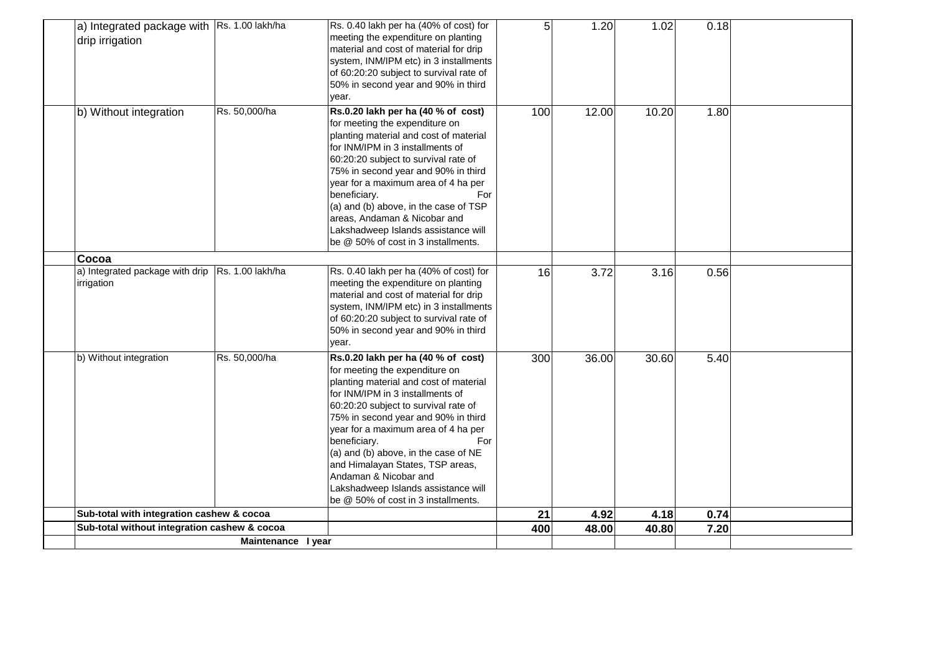| a) Integrated package with Rs. 1.00 lakh/ha<br>drip irrigation |                    | Rs. 0.40 lakh per ha (40% of cost) for<br>meeting the expenditure on planting<br>material and cost of material for drip | 5   | 1.20  | 1.02  | 0.18 |  |
|----------------------------------------------------------------|--------------------|-------------------------------------------------------------------------------------------------------------------------|-----|-------|-------|------|--|
|                                                                |                    | system, INM/IPM etc) in 3 installments                                                                                  |     |       |       |      |  |
|                                                                |                    | of 60:20:20 subject to survival rate of                                                                                 |     |       |       |      |  |
|                                                                |                    | 50% in second year and 90% in third                                                                                     |     |       |       |      |  |
|                                                                |                    | year.                                                                                                                   |     |       |       |      |  |
| b) Without integration                                         | Rs. 50,000/ha      | Rs.0.20 lakh per ha (40 % of cost)                                                                                      | 100 | 12.00 | 10.20 | 1.80 |  |
|                                                                |                    | for meeting the expenditure on                                                                                          |     |       |       |      |  |
|                                                                |                    | planting material and cost of material<br>for INM/IPM in 3 installments of                                              |     |       |       |      |  |
|                                                                |                    | 60:20:20 subject to survival rate of                                                                                    |     |       |       |      |  |
|                                                                |                    | 75% in second year and 90% in third                                                                                     |     |       |       |      |  |
|                                                                |                    | year for a maximum area of 4 ha per                                                                                     |     |       |       |      |  |
|                                                                |                    | beneficiary.<br>For                                                                                                     |     |       |       |      |  |
|                                                                |                    | (a) and (b) above, in the case of TSP                                                                                   |     |       |       |      |  |
|                                                                |                    | areas, Andaman & Nicobar and                                                                                            |     |       |       |      |  |
|                                                                |                    | Lakshadweep Islands assistance will                                                                                     |     |       |       |      |  |
|                                                                |                    | be @ 50% of cost in 3 installments.                                                                                     |     |       |       |      |  |
| Cocoa                                                          |                    |                                                                                                                         |     |       |       |      |  |
| a) Integrated package with drip Rs. 1.00 lakh/ha               |                    | Rs. 0.40 lakh per ha (40% of cost) for                                                                                  | 16  | 3.72  | 3.16  | 0.56 |  |
| irrigation                                                     |                    | meeting the expenditure on planting                                                                                     |     |       |       |      |  |
|                                                                |                    | material and cost of material for drip                                                                                  |     |       |       |      |  |
|                                                                |                    | system, INM/IPM etc) in 3 installments                                                                                  |     |       |       |      |  |
|                                                                |                    | of 60:20:20 subject to survival rate of<br>50% in second year and 90% in third                                          |     |       |       |      |  |
|                                                                |                    | year.                                                                                                                   |     |       |       |      |  |
| b) Without integration                                         | Rs. 50,000/ha      | Rs.0.20 lakh per ha (40 % of cost)                                                                                      | 300 | 36.00 | 30.60 | 5.40 |  |
|                                                                |                    | for meeting the expenditure on                                                                                          |     |       |       |      |  |
|                                                                |                    | planting material and cost of material                                                                                  |     |       |       |      |  |
|                                                                |                    | for INM/IPM in 3 installments of                                                                                        |     |       |       |      |  |
|                                                                |                    | 60:20:20 subject to survival rate of                                                                                    |     |       |       |      |  |
|                                                                |                    | 75% in second year and 90% in third                                                                                     |     |       |       |      |  |
|                                                                |                    | year for a maximum area of 4 ha per                                                                                     |     |       |       |      |  |
|                                                                |                    | beneficiary.<br>For                                                                                                     |     |       |       |      |  |
|                                                                |                    | (a) and (b) above, in the case of NE                                                                                    |     |       |       |      |  |
|                                                                |                    | and Himalayan States, TSP areas,<br>Andaman & Nicobar and                                                               |     |       |       |      |  |
|                                                                |                    | Lakshadweep Islands assistance will                                                                                     |     |       |       |      |  |
|                                                                |                    | be @ 50% of cost in 3 installments.                                                                                     |     |       |       |      |  |
| Sub-total with integration cashew & cocoa                      |                    |                                                                                                                         | 21  | 4.92  | 4.18  | 0.74 |  |
| Sub-total without integration cashew & cocoa                   |                    |                                                                                                                         | 400 | 48.00 | 40.80 | 7.20 |  |
|                                                                | Maintenance I year |                                                                                                                         |     |       |       |      |  |
|                                                                |                    |                                                                                                                         |     |       |       |      |  |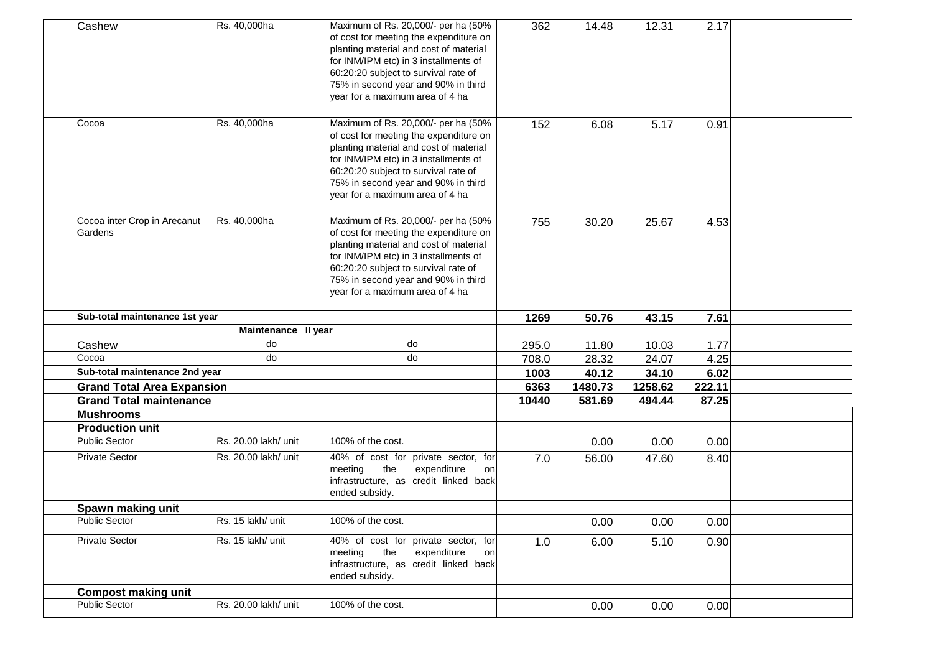| Cashew                                     | Rs. 40,000ha         | Maximum of Rs. 20,000/- per ha (50%<br>of cost for meeting the expenditure on<br>planting material and cost of material<br>for INM/IPM etc) in 3 installments of<br>60:20:20 subject to survival rate of<br>75% in second year and 90% in third<br>year for a maximum area of 4 ha | 362   | 14.48   | 12.31   | 2.17   |  |
|--------------------------------------------|----------------------|------------------------------------------------------------------------------------------------------------------------------------------------------------------------------------------------------------------------------------------------------------------------------------|-------|---------|---------|--------|--|
| Cocoa                                      | Rs. 40,000ha         | Maximum of Rs. 20,000/- per ha (50%<br>of cost for meeting the expenditure on<br>planting material and cost of material<br>for INM/IPM etc) in 3 installments of<br>60:20:20 subject to survival rate of<br>75% in second year and 90% in third<br>year for a maximum area of 4 ha | 152   | 6.08    | 5.17    | 0.91   |  |
| Cocoa inter Crop in Arecanut<br>Gardens    | Rs. 40,000ha         | Maximum of Rs. 20,000/- per ha (50%<br>of cost for meeting the expenditure on<br>planting material and cost of material<br>for INM/IPM etc) in 3 installments of<br>60:20:20 subject to survival rate of<br>75% in second year and 90% in third<br>year for a maximum area of 4 ha | 755   | 30.20   | 25.67   | 4.53   |  |
| Sub-total maintenance 1st year             |                      |                                                                                                                                                                                                                                                                                    | 1269  | 50.76   | 43.15   | 7.61   |  |
|                                            | Maintenance II year  |                                                                                                                                                                                                                                                                                    |       |         |         |        |  |
| Cashew                                     | do                   | do                                                                                                                                                                                                                                                                                 | 295.0 | 11.80   | 10.03   | 1.77   |  |
| Cocoa                                      | do                   | do                                                                                                                                                                                                                                                                                 | 708.0 | 28.32   | 24.07   | 4.25   |  |
| Sub-total maintenance 2nd year             |                      |                                                                                                                                                                                                                                                                                    | 1003  | 40.12   | 34.10   | 6.02   |  |
| <b>Grand Total Area Expansion</b>          |                      |                                                                                                                                                                                                                                                                                    | 6363  | 1480.73 | 1258.62 | 222.11 |  |
| <b>Grand Total maintenance</b>             |                      |                                                                                                                                                                                                                                                                                    | 10440 | 581.69  | 494.44  | 87.25  |  |
| <b>Mushrooms</b><br><b>Production unit</b> |                      |                                                                                                                                                                                                                                                                                    |       |         |         |        |  |
| <b>Public Sector</b>                       | Rs. 20.00 lakh/ unit | 100% of the cost.                                                                                                                                                                                                                                                                  |       | 0.00    | 0.00    | 0.00   |  |
| <b>Private Sector</b>                      | Rs. 20.00 lakh/ unit | 40% of cost for private sector, for<br>the<br>expenditure<br>meeting<br>on<br>infrastructure, as credit linked back<br>ended subsidy.                                                                                                                                              | 7.0   | 56.00   | 47.60   | 8.40   |  |
|                                            |                      |                                                                                                                                                                                                                                                                                    |       |         |         |        |  |
| Spawn making unit                          |                      |                                                                                                                                                                                                                                                                                    |       |         |         |        |  |
| <b>Public Sector</b>                       | Rs. 15 lakh/ unit    | 100% of the cost.                                                                                                                                                                                                                                                                  |       | 0.00    | 0.00    | 0.00   |  |
| <b>Private Sector</b>                      | Rs. 15 lakh/ unit    | 40% of cost for private sector, for<br>the<br>meeting<br>expenditure<br>on<br>infrastructure, as credit linked back<br>ended subsidy.                                                                                                                                              | 1.0   | 6.00    | 5.10    | 0.90   |  |
| <b>Compost making unit</b>                 |                      |                                                                                                                                                                                                                                                                                    |       |         |         |        |  |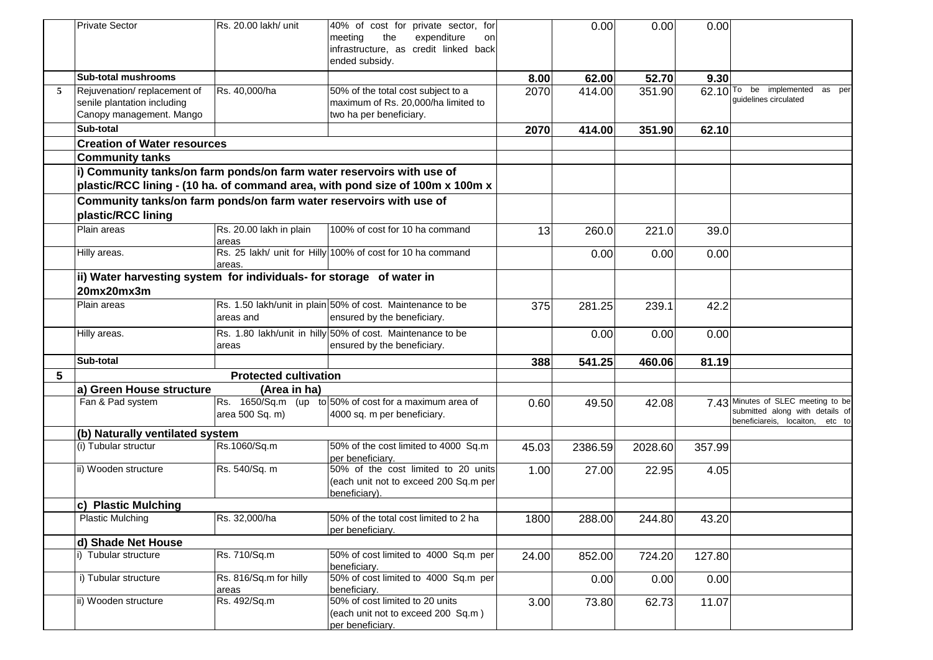|   | <b>Private Sector</b>                                                 | Rs. 20.00 lakh/ unit         | 40% of cost for private sector, for                                           |       | 0.00    | 0.00    | 0.00   |                                                                       |
|---|-----------------------------------------------------------------------|------------------------------|-------------------------------------------------------------------------------|-------|---------|---------|--------|-----------------------------------------------------------------------|
|   |                                                                       |                              | meeting<br>the<br>expenditure<br>on                                           |       |         |         |        |                                                                       |
|   |                                                                       |                              | infrastructure, as credit linked back                                         |       |         |         |        |                                                                       |
|   |                                                                       |                              | ended subsidy.                                                                |       |         |         |        |                                                                       |
|   | <b>Sub-total mushrooms</b>                                            |                              |                                                                               | 8.00  | 62.00   | 52.70   | 9.30   |                                                                       |
| 5 | Rejuvenation/replacement of                                           | Rs. 40,000/ha                | 50% of the total cost subject to a                                            | 2070  | 414.00  | 351.90  |        | 62.10 To be implemented<br>as per                                     |
|   | senile plantation including                                           |                              | maximum of Rs. 20,000/ha limited to                                           |       |         |         |        | quidelines circulated                                                 |
|   | Canopy management. Mango                                              |                              | two ha per beneficiary.                                                       |       |         |         |        |                                                                       |
|   | Sub-total                                                             |                              |                                                                               | 2070  | 414.00  | 351.90  | 62.10  |                                                                       |
|   | <b>Creation of Water resources</b>                                    |                              |                                                                               |       |         |         |        |                                                                       |
|   | <b>Community tanks</b>                                                |                              |                                                                               |       |         |         |        |                                                                       |
|   | i) Community tanks/on farm ponds/on farm water reservoirs with use of |                              |                                                                               |       |         |         |        |                                                                       |
|   |                                                                       |                              | plastic/RCC lining - (10 ha. of command area, with pond size of 100m x 100m x |       |         |         |        |                                                                       |
|   | Community tanks/on farm ponds/on farm water reservoirs with use of    |                              |                                                                               |       |         |         |        |                                                                       |
|   | plastic/RCC lining                                                    |                              |                                                                               |       |         |         |        |                                                                       |
|   | Plain areas                                                           | Rs. 20.00 lakh in plain      | 100% of cost for 10 ha command                                                | 13    | 260.0   | 221.0   | 39.0   |                                                                       |
|   |                                                                       | areas                        |                                                                               |       |         |         |        |                                                                       |
|   | Hilly areas.                                                          |                              | Rs. 25 lakh/ unit for Hilly 100% of cost for 10 ha command                    |       | 0.00    | 0.00    | 0.00   |                                                                       |
|   |                                                                       | areas.                       |                                                                               |       |         |         |        |                                                                       |
|   | ii) Water harvesting system for individuals- for storage of water in  |                              |                                                                               |       |         |         |        |                                                                       |
|   | 20mx20mx3m                                                            |                              |                                                                               |       |         |         |        |                                                                       |
|   | Plain areas                                                           |                              | Rs. 1.50 lakh/unit in plain 50% of cost. Maintenance to be                    | 375   | 281.25  | 239.1   | 42.2   |                                                                       |
|   |                                                                       | areas and                    | ensured by the beneficiary.                                                   |       |         |         |        |                                                                       |
|   | Hilly areas.                                                          |                              | Rs. 1.80 lakh/unit in hilly 50% of cost. Maintenance to be                    |       | 0.00    | 0.00    | 0.00   |                                                                       |
|   |                                                                       | areas                        | ensured by the beneficiary.                                                   |       |         |         |        |                                                                       |
|   | Sub-total                                                             |                              |                                                                               | 388   | 541.25  | 460.06  | 81.19  |                                                                       |
| 5 |                                                                       | <b>Protected cultivation</b> |                                                                               |       |         |         |        |                                                                       |
|   | a) Green House structure                                              | (Area in ha)                 |                                                                               |       |         |         |        |                                                                       |
|   | Fan & Pad system                                                      |                              | Rs. 1650/Sq.m (up to 50% of cost for a maximum area of                        | 0.60  | 49.50   | 42.08   |        | 7.43 Minutes of SLEC meeting to be<br>submitted along with details of |
|   |                                                                       | area 500 Sq. m)              | 4000 sq. m per beneficiary.                                                   |       |         |         |        | beneficiareis, locaiton, etc to                                       |
|   | (b) Naturally ventilated system                                       |                              |                                                                               |       |         |         |        |                                                                       |
|   | (i) Tubular structur                                                  | Rs.1060/Sq.m                 | 50% of the cost limited to 4000 Sq.m                                          | 45.03 | 2386.59 | 2028.60 | 357.99 |                                                                       |
|   |                                                                       |                              | per beneficiary.                                                              |       |         |         |        |                                                                       |
|   | ii) Wooden structure                                                  | Rs. 540/Sq. m                | 50% of the cost limited to 20 units                                           | 1.00  | 27.00   | 22.95   | 4.05   |                                                                       |
|   |                                                                       |                              | (each unit not to exceed 200 Sq.m per<br>beneficiary).                        |       |         |         |        |                                                                       |
|   | <b>Plastic Mulching</b><br>C)                                         |                              |                                                                               |       |         |         |        |                                                                       |
|   | <b>Plastic Mulching</b>                                               | Rs. 32,000/ha                | 50% of the total cost limited to 2 ha                                         | 1800  | 288.00  | 244.80  | 43.20  |                                                                       |
|   |                                                                       |                              | per beneficiary.                                                              |       |         |         |        |                                                                       |
|   | d) Shade Net House                                                    |                              |                                                                               |       |         |         |        |                                                                       |
|   | i) Tubular structure                                                  | Rs. 710/Sq.m                 | 50% of cost limited to 4000 Sq.m per                                          | 24.00 | 852.00  | 724.20  | 127.80 |                                                                       |
|   |                                                                       |                              | beneficiary.                                                                  |       |         |         |        |                                                                       |
|   | i) Tubular structure                                                  | Rs. 816/Sq.m for hilly       | 50% of cost limited to 4000 Sq.m per                                          |       | 0.00    | 0.00    | 0.00   |                                                                       |
|   | ii) Wooden structure                                                  | areas<br>Rs. 492/Sq.m        | beneficiary.<br>50% of cost limited to 20 units                               | 3.00  | 73.80   | 62.73   | 11.07  |                                                                       |
|   |                                                                       |                              | (each unit not to exceed 200 Sq.m)                                            |       |         |         |        |                                                                       |
|   |                                                                       |                              | per beneficiary.                                                              |       |         |         |        |                                                                       |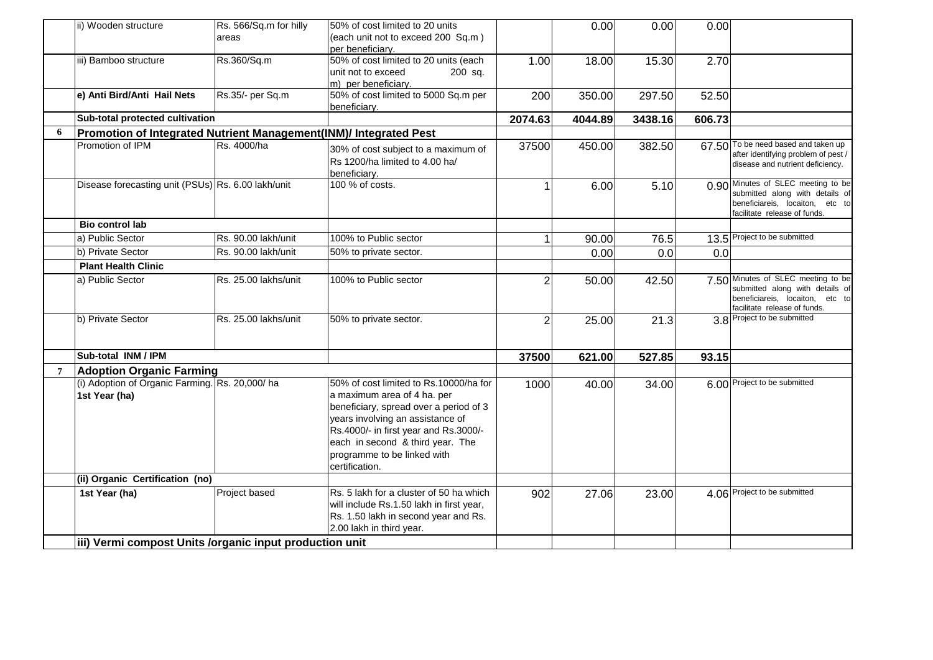|                | ii) Wooden structure                                              | Rs. 566/Sq.m for hilly | 50% of cost limited to 20 units                                                                                                                                                                                                                                                   |                | 0.00    | 0.00    | 0.00   |                                                                                                                                          |
|----------------|-------------------------------------------------------------------|------------------------|-----------------------------------------------------------------------------------------------------------------------------------------------------------------------------------------------------------------------------------------------------------------------------------|----------------|---------|---------|--------|------------------------------------------------------------------------------------------------------------------------------------------|
|                |                                                                   | areas                  | (each unit not to exceed 200 Sq.m)                                                                                                                                                                                                                                                |                |         |         |        |                                                                                                                                          |
|                | iii) Bamboo structure                                             | Rs.360/Sq.m            | per beneficiarv.<br>50% of cost limited to 20 units (each                                                                                                                                                                                                                         |                |         |         |        |                                                                                                                                          |
|                |                                                                   |                        | unit not to exceed<br>200 sq.                                                                                                                                                                                                                                                     | 1.00           | 18.00   | 15.30   | 2.70   |                                                                                                                                          |
|                |                                                                   |                        | m) per beneficiary.                                                                                                                                                                                                                                                               |                |         |         |        |                                                                                                                                          |
|                | e) Anti Bird/Anti Hail Nets                                       | Rs.35/- per Sq.m       | 50% of cost limited to 5000 Sq.m per                                                                                                                                                                                                                                              | 200            | 350.00  | 297.50  | 52.50  |                                                                                                                                          |
|                |                                                                   |                        | beneficiary.                                                                                                                                                                                                                                                                      |                |         |         |        |                                                                                                                                          |
|                | Sub-total protected cultivation                                   |                        |                                                                                                                                                                                                                                                                                   | 2074.63        | 4044.89 | 3438.16 | 606.73 |                                                                                                                                          |
| 6              | Promotion of Integrated Nutrient Management(INM)/ Integrated Pest |                        |                                                                                                                                                                                                                                                                                   |                |         |         |        |                                                                                                                                          |
|                | Promotion of IPM                                                  | Rs. 4000/ha            | 30% of cost subject to a maximum of<br>Rs 1200/ha limited to 4.00 ha/<br>beneficiary.                                                                                                                                                                                             | 37500          | 450.00  | 382.50  |        | 67.50 To be need based and taken up<br>after identifying problem of pest /<br>disease and nutrient deficiency.                           |
|                | Disease forecasting unit (PSUs) Rs. 6.00 lakh/unit                |                        | 100 % of costs.                                                                                                                                                                                                                                                                   |                | 6.00    | 5.10    |        | 0.90 Minutes of SLEC meeting to be<br>submitted along with details of<br>beneficiareis, locaiton, etc to<br>facilitate release of funds. |
|                | <b>Bio control lab</b>                                            |                        |                                                                                                                                                                                                                                                                                   |                |         |         |        |                                                                                                                                          |
|                | a) Public Sector                                                  | Rs. 90.00 lakh/unit    | 100% to Public sector                                                                                                                                                                                                                                                             |                | 90.00   | 76.5    |        | 13.5 Project to be submitted                                                                                                             |
|                | b) Private Sector                                                 | Rs. 90.00 lakh/unit    | 50% to private sector.                                                                                                                                                                                                                                                            |                | 0.00    | 0.0     | 0.0    |                                                                                                                                          |
|                | <b>Plant Health Clinic</b>                                        |                        |                                                                                                                                                                                                                                                                                   |                |         |         |        |                                                                                                                                          |
|                | a) Public Sector                                                  | Rs. 25.00 lakhs/unit   | 100% to Public sector                                                                                                                                                                                                                                                             | 2              | 50.00   | 42.50   |        | 7.50 Minutes of SLEC meeting to be<br>submitted along with details of<br>beneficiareis, locaiton, etc to<br>facilitate release of funds. |
|                | b) Private Sector                                                 | Rs. 25.00 lakhs/unit   | 50% to private sector.                                                                                                                                                                                                                                                            | $\overline{2}$ | 25.00   | 21.3    |        | 3.8 Project to be submitted                                                                                                              |
|                | Sub-total INM / IPM                                               |                        |                                                                                                                                                                                                                                                                                   | 37500          | 621.00  | 527.85  | 93.15  |                                                                                                                                          |
| $\overline{7}$ | <b>Adoption Organic Farming</b>                                   |                        |                                                                                                                                                                                                                                                                                   |                |         |         |        |                                                                                                                                          |
|                | (i) Adoption of Organic Farming. Rs. 20,000/ha<br>1st Year (ha)   |                        | 50% of cost limited to Rs.10000/ha for<br>a maximum area of 4 ha. per<br>beneficiary, spread over a period of 3<br>years involving an assistance of<br>Rs.4000/- in first year and Rs.3000/-<br>each in second & third year. The<br>programme to be linked with<br>certification. | 1000           | 40.00   | 34.00   |        | 6.00 Project to be submitted                                                                                                             |
|                | (ii) Organic Certification (no)                                   |                        |                                                                                                                                                                                                                                                                                   |                |         |         |        |                                                                                                                                          |
|                | 1st Year (ha)                                                     | Project based          | Rs. 5 lakh for a cluster of 50 ha which<br>will include Rs.1.50 lakh in first year,<br>Rs. 1.50 lakh in second year and Rs.<br>2.00 lakh in third year.                                                                                                                           | 902            | 27.06   | 23.00   |        | 4.06 Project to be submitted                                                                                                             |
|                | iii) Vermi compost Units /organic input production unit           |                        |                                                                                                                                                                                                                                                                                   |                |         |         |        |                                                                                                                                          |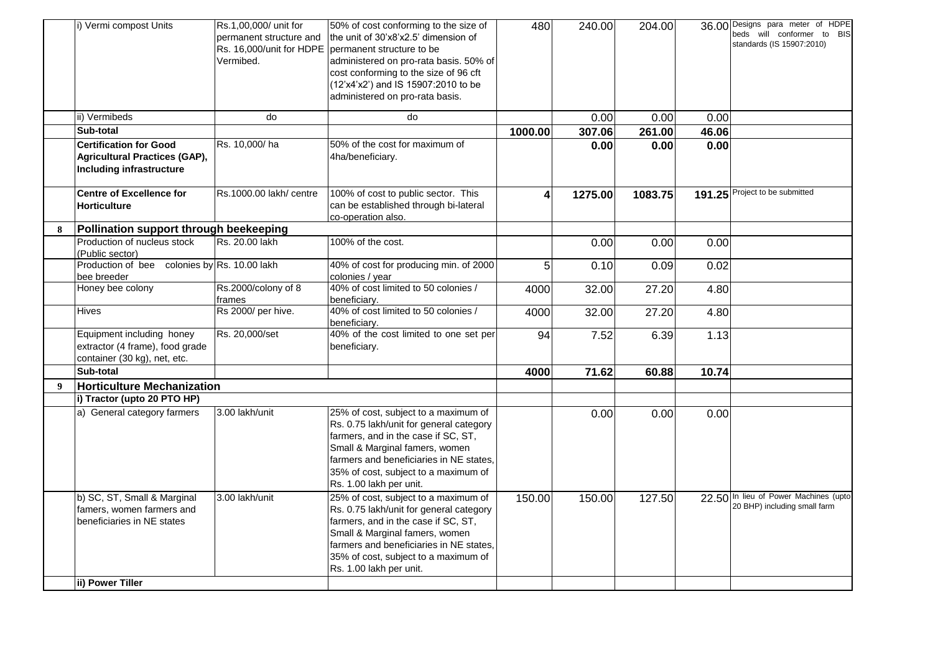|   | i) Vermi compost Units                                                                                   | Rs.1,00,000/ unit for<br>permanent structure and<br>Rs. 16,000/unit for HDPE<br>Vermibed. | 50% of cost conforming to the size of<br>the unit of 30'x8'x2.5' dimension of<br>permanent structure to be<br>administered on pro-rata basis. 50% of<br>cost conforming to the size of 96 cft<br>(12'x4'x2') and IS 15907:2010 to be<br>administered on pro-rata basis. | 480                     | 240.00  | 204.00  |       | 36.00 Designs para meter of HDPE<br>beds will conformer to BIS<br>standards (IS 15907:2010) |
|---|----------------------------------------------------------------------------------------------------------|-------------------------------------------------------------------------------------------|-------------------------------------------------------------------------------------------------------------------------------------------------------------------------------------------------------------------------------------------------------------------------|-------------------------|---------|---------|-------|---------------------------------------------------------------------------------------------|
|   | ii) Vermibeds                                                                                            | do                                                                                        | do                                                                                                                                                                                                                                                                      |                         | 0.00    | 0.00    | 0.00  |                                                                                             |
|   | Sub-total                                                                                                |                                                                                           |                                                                                                                                                                                                                                                                         | 1000.00                 | 307.06  | 261.00  | 46.06 |                                                                                             |
|   | <b>Certification for Good</b><br><b>Agricultural Practices (GAP),</b><br><b>Including infrastructure</b> | Rs. 10,000/ha                                                                             | 50% of the cost for maximum of<br>4ha/beneficiary.                                                                                                                                                                                                                      |                         | 0.00    | 0.00    | 0.00  |                                                                                             |
|   | <b>Centre of Excellence for</b><br>Horticulture                                                          | Rs.1000.00 lakh/ centre                                                                   | 100% of cost to public sector. This<br>can be established through bi-lateral<br>co-operation also.                                                                                                                                                                      | $\overline{\mathbf{4}}$ | 1275.00 | 1083.75 |       | 191.25 Project to be submitted                                                              |
| 8 | Pollination support through beekeeping                                                                   |                                                                                           |                                                                                                                                                                                                                                                                         |                         |         |         |       |                                                                                             |
|   | Production of nucleus stock<br>(Public sector)                                                           | Rs. 20.00 lakh                                                                            | 100% of the cost.                                                                                                                                                                                                                                                       |                         | 0.00    | 0.00    | 0.00  |                                                                                             |
|   | Production of bee colonies by Rs. 10.00 lakh<br>bee breeder                                              |                                                                                           | 40% of cost for producing min. of 2000<br>colonies / year                                                                                                                                                                                                               | 5                       | 0.10    | 0.09    | 0.02  |                                                                                             |
|   | Honey bee colony                                                                                         | Rs.2000/colony of 8<br>frames                                                             | 40% of cost limited to 50 colonies /<br>beneficiary.                                                                                                                                                                                                                    | 4000                    | 32.00   | 27.20   | 4.80  |                                                                                             |
|   | <b>Hives</b>                                                                                             | Rs 2000/ per hive.                                                                        | 40% of cost limited to 50 colonies /<br>beneficiary.                                                                                                                                                                                                                    | 4000                    | 32.00   | 27.20   | 4.80  |                                                                                             |
|   | Equipment including honey<br>extractor (4 frame), food grade<br>container (30 kg), net, etc.             | Rs. 20,000/set                                                                            | 40% of the cost limited to one set per<br>beneficiary.                                                                                                                                                                                                                  | 94                      | 7.52    | 6.39    | 1.13  |                                                                                             |
|   | Sub-total                                                                                                |                                                                                           |                                                                                                                                                                                                                                                                         | 4000                    | 71.62   | 60.88   | 10.74 |                                                                                             |
| 9 | <b>Horticulture Mechanization</b>                                                                        |                                                                                           |                                                                                                                                                                                                                                                                         |                         |         |         |       |                                                                                             |
|   | i) Tractor (upto 20 PTO HP)                                                                              |                                                                                           |                                                                                                                                                                                                                                                                         |                         |         |         |       |                                                                                             |
|   | a) General category farmers                                                                              | 3.00 lakh/unit                                                                            | 25% of cost, subject to a maximum of<br>Rs. 0.75 lakh/unit for general category<br>farmers, and in the case if SC, ST,<br>Small & Marginal famers, women<br>farmers and beneficiaries in NE states,<br>35% of cost, subject to a maximum of<br>Rs. 1.00 lakh per unit.  |                         | 0.00    | 0.00    | 0.00  |                                                                                             |
|   | b) SC, ST, Small & Marginal<br>famers, women farmers and<br>beneficiaries in NE states                   | 3.00 lakh/unit                                                                            | 25% of cost, subject to a maximum of<br>Rs. 0.75 lakh/unit for general category<br>farmers, and in the case if SC, ST,<br>Small & Marginal famers, women<br>farmers and beneficiaries in NE states,<br>35% of cost, subject to a maximum of<br>Rs. 1.00 lakh per unit.  | 150.00                  | 150.00  | 127.50  |       | 22.50 In lieu of Power Machines (upto<br>20 BHP) including small farm                       |
|   | ii) Power Tiller                                                                                         |                                                                                           |                                                                                                                                                                                                                                                                         |                         |         |         |       |                                                                                             |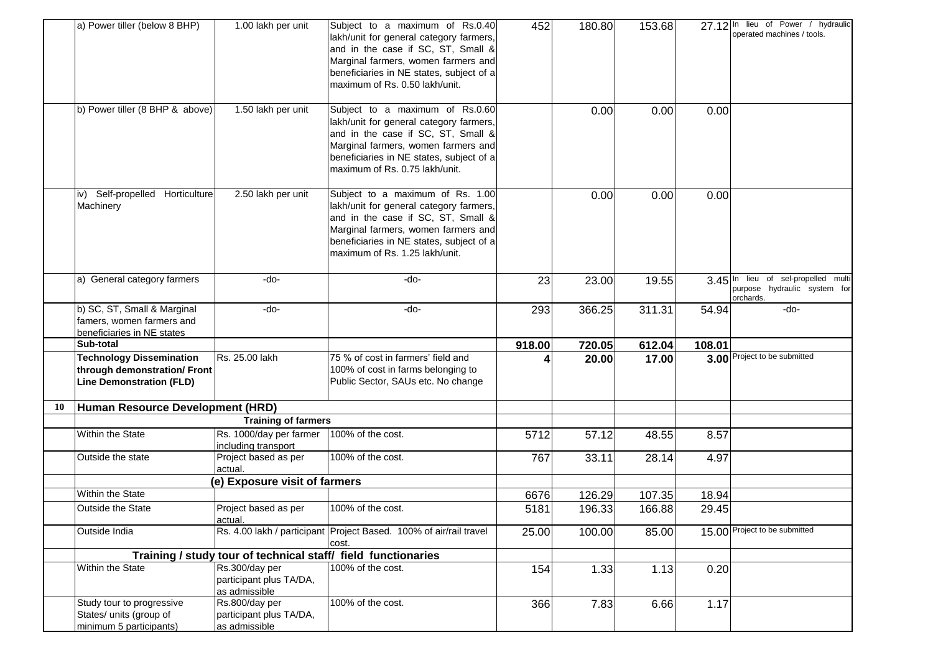|    | a) Power tiller (below 8 BHP)                                                                      | 1.00 lakh per unit                                         | Subject to a maximum of Rs.0.40<br>lakh/unit for general category farmers,<br>and in the case if SC, ST, Small &<br>Marginal farmers, women farmers and<br>beneficiaries in NE states, subject of a<br>maximum of Rs. 0.50 lakh/unit.  | 452    | 180.80 | 153.68 |        | 27.12 In lieu of Power / hydraulic<br>operated machines / tools.                 |
|----|----------------------------------------------------------------------------------------------------|------------------------------------------------------------|----------------------------------------------------------------------------------------------------------------------------------------------------------------------------------------------------------------------------------------|--------|--------|--------|--------|----------------------------------------------------------------------------------|
|    | b) Power tiller (8 BHP & above)                                                                    | 1.50 lakh per unit                                         | Subject to a maximum of Rs.0.60<br>lakh/unit for general category farmers,<br>and in the case if SC, ST, Small &<br>Marginal farmers, women farmers and<br>beneficiaries in NE states, subject of a<br>maximum of Rs. 0.75 lakh/unit.  |        | 0.00   | 0.00   | 0.00   |                                                                                  |
|    | iv) Self-propelled Horticulture<br>Machinery                                                       | 2.50 lakh per unit                                         | Subject to a maximum of Rs. 1.00<br>lakh/unit for general category farmers,<br>and in the case if SC, ST, Small &<br>Marginal farmers, women farmers and<br>beneficiaries in NE states, subject of a<br>maximum of Rs. 1.25 lakh/unit. |        | 0.00   | 0.00   | 0.00   |                                                                                  |
|    | a) General category farmers                                                                        | -do-                                                       | -do-                                                                                                                                                                                                                                   | 23     | 23.00  | 19.55  |        | 3.45 In lieu of sel-propelled multi<br>purpose hydraulic system for<br>orchards. |
|    | b) SC, ST, Small & Marginal<br>famers, women farmers and<br>beneficiaries in NE states             | $-do-$                                                     | -do-                                                                                                                                                                                                                                   | 293    | 366.25 | 311.31 | 54.94  | -do-                                                                             |
|    | Sub-total                                                                                          |                                                            |                                                                                                                                                                                                                                        | 918.00 | 720.05 | 612.04 | 108.01 |                                                                                  |
|    | <b>Technology Dissemination</b><br>through demonstration/ Front<br><b>Line Demonstration (FLD)</b> | Rs. 25.00 lakh                                             | 75 % of cost in farmers' field and<br>100% of cost in farms belonging to<br>Public Sector, SAUs etc. No change                                                                                                                         |        | 20.00  | 17.00  |        | 3.00 Project to be submitted                                                     |
| 10 | Human Resource Development (HRD)                                                                   |                                                            |                                                                                                                                                                                                                                        |        |        |        |        |                                                                                  |
|    |                                                                                                    | <b>Training of farmers</b>                                 |                                                                                                                                                                                                                                        |        |        |        |        |                                                                                  |
|    | Within the State                                                                                   | Rs. 1000/day per farmer<br>including transport             | 100% of the cost.                                                                                                                                                                                                                      | 5712   | 57.12  | 48.55  | 8.57   |                                                                                  |
|    | Outside the state                                                                                  | Project based as per<br>actual.                            | 100% of the cost.                                                                                                                                                                                                                      | 767    | 33.11  | 28.14  | 4.97   |                                                                                  |
|    |                                                                                                    | (e) Exposure visit of farmers                              |                                                                                                                                                                                                                                        |        |        |        |        |                                                                                  |
|    | Within the State                                                                                   |                                                            |                                                                                                                                                                                                                                        | 6676   | 126.29 | 107.35 | 18.94  |                                                                                  |
|    | <b>Outside the State</b>                                                                           | Project based as per<br>actual.                            | 100% of the cost.                                                                                                                                                                                                                      | 5181   | 196.33 | 166.88 | 29.45  |                                                                                  |
|    | Outside India                                                                                      |                                                            | Rs. 4.00 lakh / participant Project Based. 100% of air/rail travel<br>cost.                                                                                                                                                            | 25.00  | 100.00 | 85.00  |        | 15.00 Project to be submitted                                                    |
|    |                                                                                                    |                                                            | Training / study tour of technical staff/ field functionaries                                                                                                                                                                          |        |        |        |        |                                                                                  |
|    | Within the State                                                                                   | Rs.300/day per<br>participant plus TA/DA,<br>as admissible | 100% of the cost.                                                                                                                                                                                                                      | 154    | 1.33   | 1.13   | 0.20   |                                                                                  |
|    | Study tour to progressive<br>States/ units (group of<br>minimum 5 participants)                    | Rs.800/day per<br>participant plus TA/DA,<br>as admissible | 100% of the cost.                                                                                                                                                                                                                      | 366    | 7.83   | 6.66   | 1.17   |                                                                                  |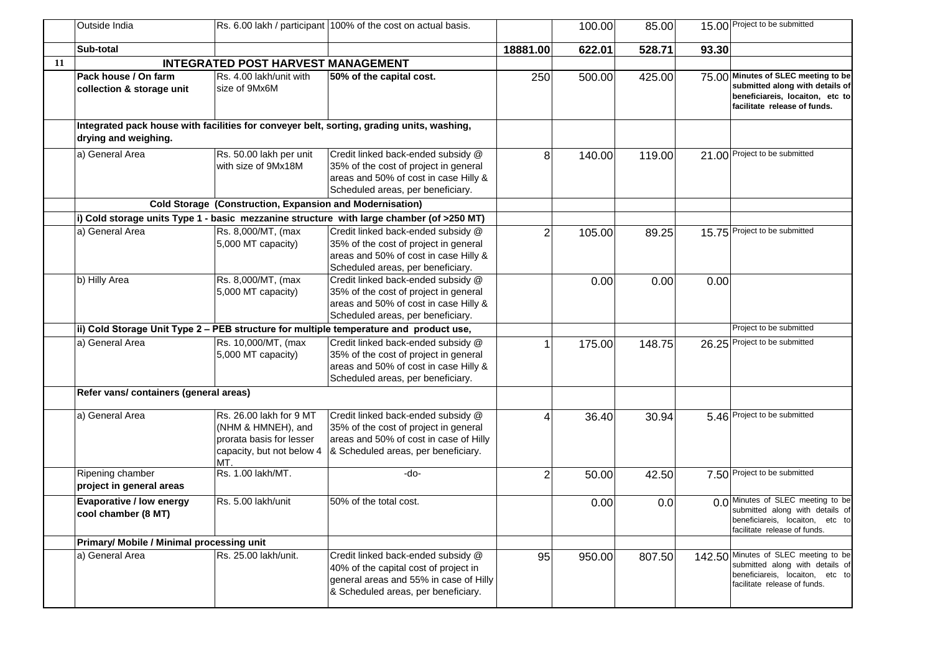|    | Outside India                                          |                                                                                                               | Rs. 6.00 lakh / participant 100% of the cost on actual basis.                                                                                                |                | 100.00 | 85.00  |       | 15.00 Project to be submitted                                                                                                              |
|----|--------------------------------------------------------|---------------------------------------------------------------------------------------------------------------|--------------------------------------------------------------------------------------------------------------------------------------------------------------|----------------|--------|--------|-------|--------------------------------------------------------------------------------------------------------------------------------------------|
|    | Sub-total                                              |                                                                                                               |                                                                                                                                                              | 18881.00       | 622.01 | 528.71 | 93.30 |                                                                                                                                            |
| 11 |                                                        | <b>INTEGRATED POST HARVEST MANAGEMENT</b>                                                                     |                                                                                                                                                              |                |        |        |       |                                                                                                                                            |
|    | Pack house / On farm<br>collection & storage unit      | Rs. 4.00 lakh/unit with<br>size of 9Mx6M                                                                      | 50% of the capital cost.                                                                                                                                     | 250            | 500.00 | 425.00 |       | 75.00 Minutes of SLEC meeting to be<br>submitted along with details of<br>beneficiareis, locaiton, etc to<br>facilitate release of funds.  |
|    | drying and weighing.                                   |                                                                                                               | Integrated pack house with facilities for conveyer belt, sorting, grading units, washing,                                                                    |                |        |        |       |                                                                                                                                            |
|    | a) General Area                                        | Rs. 50.00 lakh per unit<br>with size of 9Mx18M                                                                | Credit linked back-ended subsidy @<br>35% of the cost of project in general<br>areas and 50% of cost in case Hilly &<br>Scheduled areas, per beneficiary.    | 8              | 140.00 | 119.00 |       | 21.00 Project to be submitted                                                                                                              |
|    |                                                        | <b>Cold Storage (Construction, Expansion and Modernisation)</b>                                               |                                                                                                                                                              |                |        |        |       |                                                                                                                                            |
|    |                                                        |                                                                                                               | i) Cold storage units Type 1 - basic mezzanine structure with large chamber (of >250 MT)                                                                     |                |        |        |       |                                                                                                                                            |
|    | a) General Area                                        | Rs. 8,000/MT, (max<br>5,000 MT capacity)                                                                      | Credit linked back-ended subsidy @<br>35% of the cost of project in general<br>areas and 50% of cost in case Hilly &<br>Scheduled areas, per beneficiary.    | $\overline{2}$ | 105.00 | 89.25  |       | 15.75 Project to be submitted                                                                                                              |
|    | b) Hilly Area                                          | Rs. 8,000/MT, (max<br>5,000 MT capacity)                                                                      | Credit linked back-ended subsidy @<br>35% of the cost of project in general<br>areas and 50% of cost in case Hilly &<br>Scheduled areas, per beneficiary.    |                | 0.00   | 0.00   | 0.00  |                                                                                                                                            |
|    |                                                        |                                                                                                               | ii) Cold Storage Unit Type 2 - PEB structure for multiple temperature and product use,                                                                       |                |        |        |       | Project to be submitted                                                                                                                    |
|    | a) General Area                                        | Rs. 10,000/MT, (max<br>5,000 MT capacity)                                                                     | Credit linked back-ended subsidy @<br>35% of the cost of project in general<br>areas and 50% of cost in case Hilly &<br>Scheduled areas, per beneficiary.    |                | 175.00 | 148.75 |       | 26.25 Project to be submitted                                                                                                              |
|    | Refer vans/ containers (general areas)                 |                                                                                                               |                                                                                                                                                              |                |        |        |       |                                                                                                                                            |
|    | a) General Area                                        | Rs. 26.00 lakh for 9 MT<br>(NHM & HMNEH), and<br>prorata basis for lesser<br>capacity, but not below 4<br>MT. | Credit linked back-ended subsidy @<br>35% of the cost of project in general<br>areas and 50% of cost in case of Hilly<br>& Scheduled areas, per beneficiary. | 4              | 36.40  | 30.94  |       | 5.46 Project to be submitted                                                                                                               |
|    | Ripening chamber<br>project in general areas           | Rs. 1.00 lakh/MT.                                                                                             | -do-                                                                                                                                                         | $\overline{2}$ | 50.00  | 42.50  |       | 7.50 Project to be submitted                                                                                                               |
|    | <b>Evaporative / low energy</b><br>cool chamber (8 MT) | Rs. 5.00 lakh/unit                                                                                            | 50% of the total cost.                                                                                                                                       |                | 0.00   | 0.0    |       | 0.0 Minutes of SLEC meeting to be<br>submitted along with details of<br>beneficiareis, locaiton, etc to<br>facilitate release of funds.    |
|    | Primary/ Mobile / Minimal processing unit              |                                                                                                               |                                                                                                                                                              |                |        |        |       |                                                                                                                                            |
|    | a) General Area                                        | Rs. 25.00 lakh/unit.                                                                                          | Credit linked back-ended subsidy @<br>40% of the capital cost of project in<br>general areas and 55% in case of Hilly<br>& Scheduled areas, per beneficiary. | 95             | 950.00 | 807.50 |       | 142.50 Minutes of SLEC meeting to be<br>submitted along with details of<br>beneficiareis, locaiton, etc to<br>facilitate release of funds. |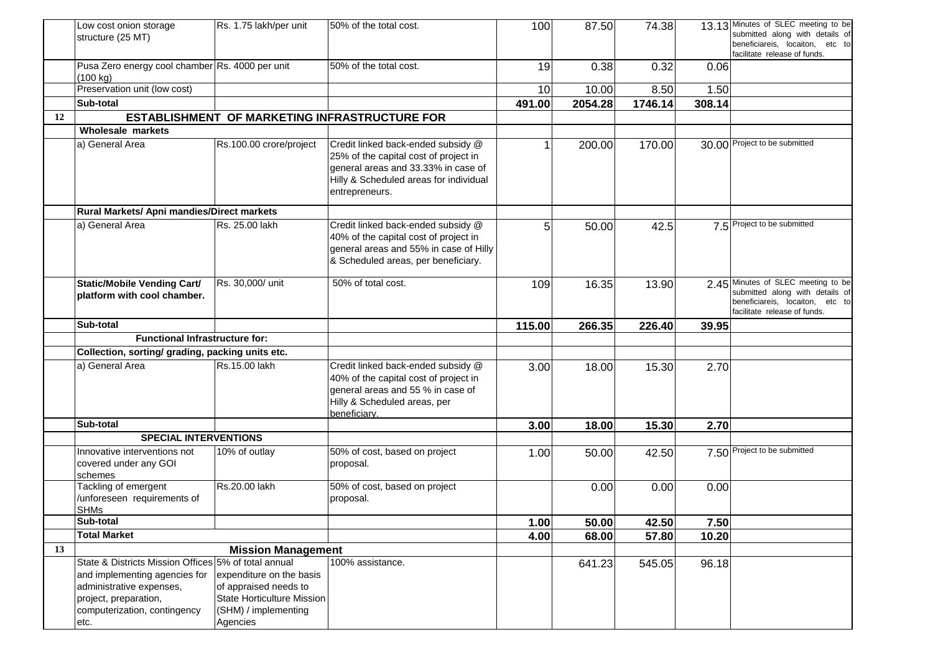|    | Low cost onion storage                                      | Rs. 1.75 lakh/per unit           | 50% of the total cost.                                                          | 100          | 87.50          | 74.38          |               | 13.13 Minutes of SLEC meeting to be<br>submitted along with details of |
|----|-------------------------------------------------------------|----------------------------------|---------------------------------------------------------------------------------|--------------|----------------|----------------|---------------|------------------------------------------------------------------------|
|    | structure (25 MT)                                           |                                  |                                                                                 |              |                |                |               | beneficiareis, locaiton, etc to                                        |
|    |                                                             |                                  |                                                                                 |              |                |                |               | facilitate release of funds.                                           |
|    | Pusa Zero energy cool chamber Rs. 4000 per unit<br>(100 kg) |                                  | 50% of the total cost.                                                          | 19           | 0.38           | 0.32           | 0.06          |                                                                        |
|    | Preservation unit (low cost)                                |                                  |                                                                                 | 10           | 10.00          | 8.50           | 1.50          |                                                                        |
|    | Sub-total                                                   |                                  |                                                                                 | 491.00       | 2054.28        | 1746.14        | 308.14        |                                                                        |
| 12 |                                                             |                                  | ESTABLISHMENT OF MARKETING INFRASTRUCTURE FOR                                   |              |                |                |               |                                                                        |
|    | <b>Wholesale markets</b>                                    |                                  |                                                                                 |              |                |                |               |                                                                        |
|    | a) General Area                                             | Rs.100.00 crore/project          | Credit linked back-ended subsidy @                                              |              | 200.00         | 170.00         |               | 30.00 Project to be submitted                                          |
|    |                                                             |                                  | 25% of the capital cost of project in                                           |              |                |                |               |                                                                        |
|    |                                                             |                                  | general areas and 33.33% in case of                                             |              |                |                |               |                                                                        |
|    |                                                             |                                  | Hilly & Scheduled areas for individual<br>entrepreneurs.                        |              |                |                |               |                                                                        |
|    |                                                             |                                  |                                                                                 |              |                |                |               |                                                                        |
|    | Rural Markets/ Apni mandies/Direct markets                  |                                  |                                                                                 |              |                |                |               |                                                                        |
|    | a) General Area                                             | Rs. 25.00 lakh                   | Credit linked back-ended subsidy @                                              | 5            | 50.00          | 42.5           |               | 7.5 Project to be submitted                                            |
|    |                                                             |                                  | 40% of the capital cost of project in<br>general areas and 55% in case of Hilly |              |                |                |               |                                                                        |
|    |                                                             |                                  | & Scheduled areas, per beneficiary.                                             |              |                |                |               |                                                                        |
|    |                                                             |                                  |                                                                                 |              |                |                |               |                                                                        |
|    | <b>Static/Mobile Vending Cart/</b>                          | Rs. 30,000/ unit                 | 50% of total cost.                                                              | 109          | 16.35          | 13.90          | 2.45          | Minutes of SLEC meeting to be<br>submitted along with details of       |
|    | platform with cool chamber.                                 |                                  |                                                                                 |              |                |                |               | beneficiareis, locaiton, etc to                                        |
|    |                                                             |                                  |                                                                                 |              |                |                |               | facilitate release of funds.                                           |
|    | Sub-total                                                   |                                  |                                                                                 | 115.00       | 266.35         | 226.40         | 39.95         |                                                                        |
|    | <b>Functional Infrastructure for:</b>                       |                                  |                                                                                 |              |                |                |               |                                                                        |
|    | Collection, sorting/ grading, packing units etc.            |                                  |                                                                                 |              |                |                |               |                                                                        |
|    | a) General Area                                             | Rs.15.00 lakh                    | Credit linked back-ended subsidy @<br>40% of the capital cost of project in     | 3.00         | 18.00          | 15.30          | 2.70          |                                                                        |
|    |                                                             |                                  | general areas and 55 % in case of                                               |              |                |                |               |                                                                        |
|    |                                                             |                                  | Hilly & Scheduled areas, per                                                    |              |                |                |               |                                                                        |
|    |                                                             |                                  | beneficiary.                                                                    |              |                |                |               |                                                                        |
|    | Sub-total                                                   |                                  |                                                                                 | 3.00         | 18.00          | 15.30          | 2.70          |                                                                        |
|    | <b>SPECIAL INTERVENTIONS</b>                                |                                  |                                                                                 |              |                |                |               |                                                                        |
|    | Innovative interventions not<br>covered under any GOI       | 10% of outlay                    | 50% of cost, based on project<br>proposal.                                      | 1.00         | 50.00          | 42.50          |               | 7.50 Project to be submitted                                           |
|    | schemes                                                     |                                  |                                                                                 |              |                |                |               |                                                                        |
|    | Tackling of emergent                                        | Rs.20.00 lakh                    | 50% of cost, based on project                                                   |              | 0.00           | 0.00           | 0.00          |                                                                        |
|    | /unforeseen requirements of                                 |                                  | proposal.                                                                       |              |                |                |               |                                                                        |
|    | <b>SHMs</b><br>Sub-total                                    |                                  |                                                                                 |              |                |                |               |                                                                        |
|    | <b>Total Market</b>                                         |                                  |                                                                                 | 1.00<br>4.00 | 50.00<br>68.00 | 42.50<br>57.80 | 7.50<br>10.20 |                                                                        |
| 13 |                                                             | <b>Mission Management</b>        |                                                                                 |              |                |                |               |                                                                        |
|    | State & Districts Mission Offices 5% of total annual        |                                  | 100% assistance.                                                                |              | 641.23         | 545.05         | 96.18         |                                                                        |
|    | and implementing agencies for                               | expenditure on the basis         |                                                                                 |              |                |                |               |                                                                        |
|    | administrative expenses,                                    | of appraised needs to            |                                                                                 |              |                |                |               |                                                                        |
|    | project, preparation,                                       | State Horticulture Mission       |                                                                                 |              |                |                |               |                                                                        |
|    | computerization, contingency                                | (SHM) / implementing<br>Agencies |                                                                                 |              |                |                |               |                                                                        |
|    | etc.                                                        |                                  |                                                                                 |              |                |                |               |                                                                        |